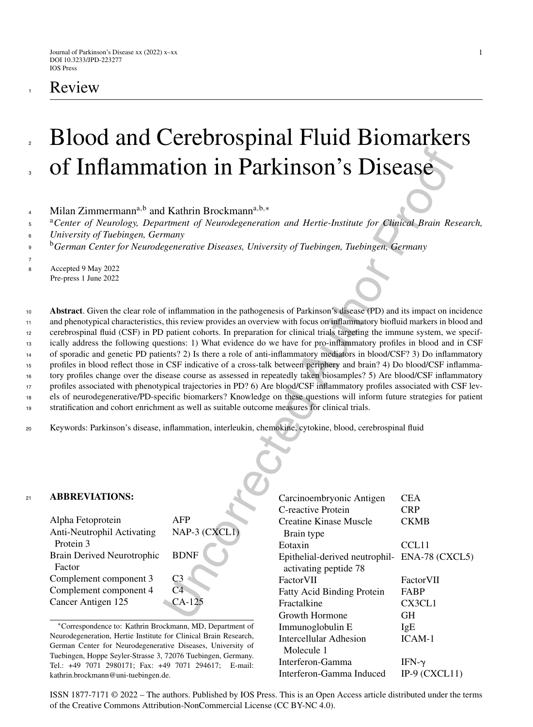# **Review**

1

## Blood and Cerebrospinal Fluid Biomarkers of Inflammation in Parkinson's Disease 2 3

- 4 Milan Zimmermann<sup>a,b</sup> and Kathrin Brockmann<sup>a,b,∗</sup>
- <sup>a</sup>*Center of Neurology, Department of Neurodegeneration and Hertie-Institute for Clinical Brain Research,* 5
- *University of Tuebingen, Germany* 6
- <sup>b</sup>*German Center for Neurodegenerative Diseases, University of Tuebingen, Tuebingen, Germany* 9
- 7

- <sup>8</sup> Accepted 9 May 2022
- Pre-press 1 June 2022

Uncorrected Author Proof **Abstract**. Given the clear role of inflammation in the pathogenesis of Parkinson's disease (PD) and its impact on incidence and phenotypical characteristics, this review provides an overview with focus on inflammatory biofluid markers in blood and cerebrospinal fluid (CSF) in PD patient cohorts. In preparation for clinical trials targeting the immune system, we specifically address the following questions: 1) What evidence do we have for pro-inflammatory profiles in blood and in CSF of sporadic and genetic PD patients? 2) Is there a role of anti-inflammatory mediators in blood/CSF? 3) Do inflammatory profiles in blood reflect those in CSF indicative of a cross-talk between periphery and brain? 4) Do blood/CSF inflammatory profiles change over the disease course as assessed in repeatedly taken biosamples? 5) Are blood/CSF inflammatory profiles associated with phenotypical trajectories in PD? 6) Are blood/CSF inflammatory profiles associated with CSF levels of neurodegenerative/PD-specific biomarkers? Knowledge on these questions will inform future strategies for patient stratification and cohort enrichment as well as suitable outcome measures for clinical trials.

<sup>20</sup> Keywords: Parkinson's disease, inflammation, interleukin, chemokine, cytokine, blood, cerebrospinal fluid

#### <sup>21</sup> **ABBREVIATIONS:**

| Alpha Fetoprotein                 | AFP            |
|-----------------------------------|----------------|
| Anti-Neutrophil Activating        | NAP-3 (CXCLI)  |
| Protein 3                         |                |
| <b>Brain Derived Neurotrophic</b> | <b>BDNF</b>    |
| Factor                            |                |
| Complement component 3            | CЗ             |
| Complement component 4            | C <sub>4</sub> |
| Cancer Antigen 125                | $CA-125$       |
|                                   |                |

<sup>∗</sup>Correspondence to: Kathrin Brockmann, MD, Department of Neurodegeneration, Hertie Institute for Clinical Brain Research, German Center for Neurodegenerative Diseases, University of Tuebingen, Hoppe Seyler-Strasse 3, 72076 Tuebingen, Germany. Tel.: +49 7071 2980171; Fax: +49 7071 294617; E-mail: [kathrin.brockmann@uni-tuebingen.de.](mailto:kathrin.brockmann@uni-tuebingen.de)

| Carcinoembryonic Antigen          | CEA               |
|-----------------------------------|-------------------|
| C-reactive Protein                | <b>CRP</b>        |
| Creatine Kinase Muscle            | <b>CKMB</b>       |
| Brain type                        |                   |
| Eotaxin                           | CCL <sub>11</sub> |
| Epithelial-derived neutrophil-    | ENA-78 (CXCL5)    |
| activating peptide 78             |                   |
| FactorVII                         | FactorVII         |
| <b>Fatty Acid Binding Protein</b> | FABP              |
| Fractalkine                       | CX3CL1            |
| Growth Hormone                    | <b>GH</b>         |
| Immunoglobulin E                  | IgE               |
| Intercellular Adhesion            | $ICAM-1$          |
| Molecule 1                        |                   |
| Interferon-Gamma                  | IFN- $\gamma$     |
| Interferon-Gamma Induced          | IP-9 $(CXCL11)$   |

ISSN 1877-7171 © 2022 – The authors. Published by IOS Press. This is an Open Access article distributed under the terms of the [Creative Commons Attribution-NonCommercial License \(CC BY-NC 4.0\).](https://creativecommons.org/licenses/by-nc/4.0/)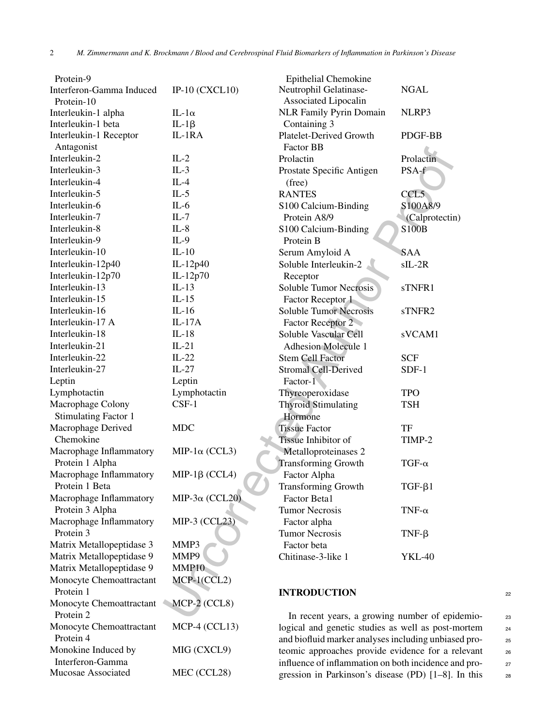| Protein-9                                  |                        | Epithelial Chemokine                           |                    |    |
|--------------------------------------------|------------------------|------------------------------------------------|--------------------|----|
| Interferon-Gamma Induced                   | IP-10 $(CXCL10)$       | Neutrophil Gelatinase-                         | <b>NGAL</b>        |    |
| Protein-10                                 |                        | Associated Lipocalin                           |                    |    |
| Interleukin-1 alpha                        | IL-1 $\alpha$          | NLR Family Pyrin Domain                        | NLRP3              |    |
| Interleukin-1 beta                         | $IL-1\beta$            | Containing 3                                   |                    |    |
| Interleukin-1 Receptor<br>Antagonist       | IL-1RA                 | Platelet-Derived Growth<br>Factor BB           | PDGF-BB            |    |
| Interleukin-2                              | $IL-2$                 | Prolactin                                      | Prolactin          |    |
| Interleukin-3                              | $IL-3$                 | Prostate Specific Antigen                      | PSA-f              |    |
| Interleukin-4                              | $IL-4$                 | (free)                                         |                    |    |
| Interleukin-5                              | $IL-5$                 | <b>RANTES</b>                                  | CCL5               |    |
| Interleukin-6                              | $IL-6$                 | S100 Calcium-Binding                           | S100A8/9           |    |
| Interleukin-7                              | $IL-7$                 | Protein A8/9                                   | (Calprotectin)     |    |
| Interleukin-8                              | $IL-8$                 | S100 Calcium-Binding                           | <b>S100B</b>       |    |
| Interleukin-9                              | $IL-9$                 | Protein B                                      |                    |    |
| Interleukin-10                             | $IL-10$                | Serum Amyloid A                                | <b>SAA</b>         |    |
| Interleukin-12p40                          | IL-12p40               | Soluble Interleukin-2                          | $sIL-2R$           |    |
| Interleukin-12p70                          | IL-12 $p70$            | Receptor                                       |                    |    |
| Interleukin-13                             | $IL-13$                | Soluble Tumor Necrosis                         | sTNFR1             |    |
| Interleukin-15                             | $IL-15$                | Factor Receptor 1                              |                    |    |
| Interleukin-16                             | $IL-16$                | <b>Soluble Tumor Necrosis</b>                  | sTNFR <sub>2</sub> |    |
| Interleukin-17 A                           | $IL-17A$               | Factor Receptor 2                              |                    |    |
| Interleukin-18                             | $IL-18$                | Soluble Vascular Cell                          | sVCAM1             |    |
| Interleukin-21                             | $IL-21$                | <b>Adhesion Molecule 1</b>                     |                    |    |
| Interleukin-22                             | $IL-22$                | <b>Stem Cell Factor</b>                        | <b>SCF</b>         |    |
| Interleukin-27                             | $IL-27$                | <b>Stromal Cell-Derived</b>                    | $SDF-1$            |    |
| Leptin                                     | Leptin                 | Factor-1                                       |                    |    |
| Lymphotactin                               | Lymphotactin           | Thyreoperoxidase                               | <b>TPO</b>         |    |
| Macrophage Colony                          | $CSF-1$                | <b>Thyroid Stimulating</b>                     | <b>TSH</b>         |    |
| <b>Stimulating Factor 1</b>                |                        | Hormone                                        |                    |    |
| Macrophage Derived                         | <b>MDC</b>             | <b>Tissue Factor</b>                           | TF                 |    |
| Chemokine                                  |                        | Tissue Inhibitor of                            | TIMP-2             |    |
| Macrophage Inflammatory                    | MIP-1 $\alpha$ (CCL3)  | Metalloproteinases 2                           |                    |    |
| Protein 1 Alpha                            |                        | <b>Transforming Growth</b>                     | TGF- $\alpha$      |    |
| Macrophage Inflammatory                    | MIP-1 $\beta$ (CCL4)   | Factor Alpha                                   |                    |    |
| Protein 1 Beta                             |                        | <b>Transforming Growth</b>                     | $TGF-\beta1$       |    |
| Macrophage Inflammatory<br>Protein 3 Alpha | MIP-3 $\alpha$ (CCL20) | <b>Factor Beta1</b><br><b>Tumor Necrosis</b>   | TNF- $\alpha$      |    |
| Macrophage Inflammatory                    | MIP-3 (CCL23)          | Factor alpha                                   |                    |    |
| Protein 3                                  |                        | <b>Tumor Necrosis</b>                          | $TNF-\beta$        |    |
| Matrix Metallopeptidase 3                  | MMP3                   | Factor beta                                    |                    |    |
| Matrix Metallopeptidase 9                  | MMP9                   | Chitinase-3-like 1                             | <b>YKL-40</b>      |    |
| Matrix Metallopeptidase 9                  | MMP <sub>10</sub>      |                                                |                    |    |
| Monocyte Chemoattractant                   | $MCP-1(CCL2)$          |                                                |                    |    |
| Protein 1                                  |                        | <b>INTRODUCTION</b>                            |                    |    |
| Monocyte Chemoattractant                   | MCP-2 (CCL8)           |                                                |                    | 22 |
| Protein 2                                  |                        | In recent years, a growing number of epidemio- |                    | 23 |
|                                            |                        |                                                |                    |    |

Monocyte Chemoattractant MCP-4 (CCL13)

Monokine Induced by MIG (CXCL9)

Mucosae Associated MEC (CCL28)

Protein 4

Interferon-Gamma

In recent years, a growing number of epidemio-<br>23 logical and genetic studies as well as post-mortem <sup>24</sup> and biofluid marker analyses including unbiased pro- <sup>25</sup> teomic approaches provide evidence for a relevant <sup>26</sup> influence of inflammation on both incidence and progression in Parkinson's disease (PD) [1–8]. In this <sup>28</sup>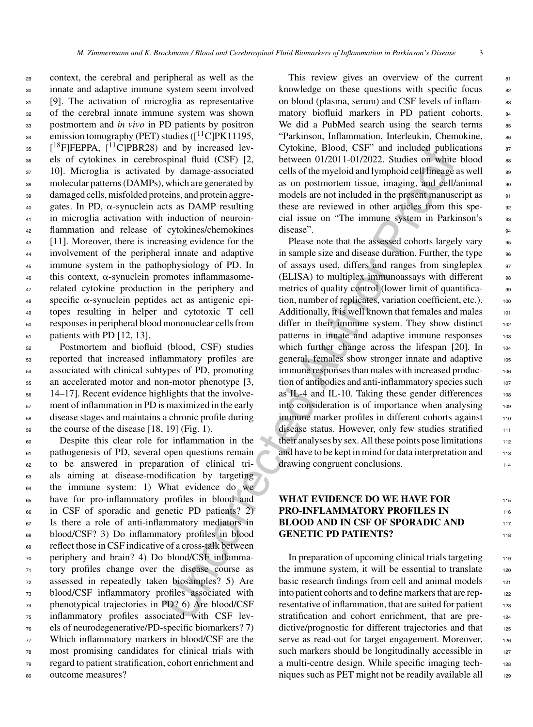context, the cerebral and peripheral as well as the innate and adaptive immune system seem involved [9]. The activation of microglia as representative of the cerebral innate immune system was shown postmortem and *in vivo* in PD patients by positron emission tomography (PET) studies ( $\lceil {}^{11}C \rceil P K11195$ ,  $18F$  [<sup>18</sup>F]FEPPA, [<sup>11</sup>C]PBR28) and by increased lev- els of cytokines in cerebrospinal fluid (CSF) [2, 10]. Microglia is activated by damage-associated molecular patterns (DAMPs), which are generated by damaged cells, misfolded proteins, and protein aggre- gates. In PD,  $\alpha$ -synuclein acts as DAMP resulting in microglia activation with induction of neuroin- flammation and release of cytokines/chemokines [11]. Moreover, there is increasing evidence for the involvement of the peripheral innate and adaptive immune system in the pathophysiology of PD. In this context,  $\alpha$ -synuclein promotes inflammasome- related cytokine production in the periphery and specific  $\alpha$ -synuclein peptides act as antigenic epi- topes resulting in helper and cytotoxic T cell responses in peripheral blood mononuclear cells from  $_{51}$  patients with PD [12, 13].

 Postmortem and biofluid (blood, CSF) studies reported that increased inflammatory profiles are associated with clinical subtypes of PD, promoting an accelerated motor and non-motor phenotype [3, 14–17]. Recent evidence highlights that the involve- ment of inflammation in PD is maximized in the early disease stages and maintains a chronic profile during the course of the disease [18, 19] (Fig. 1).

 Despite this clear role for inflammation in the pathogenesis of PD, several open questions remain to be answered in preparation of clinical tri- als aiming at disease-modification by targeting 64 the immune system: 1) What evidence do we have for pro-inflammatory profiles in blood and in CSF of sporadic and genetic PD patients? 2) Is there a role of anti-inflammatory mediators in blood/CSF? 3) Do inflammatory profiles in blood reflect those in CSF indicative of a cross-talk between periphery and brain? 4) Do blood/CSF inflamma- tory profiles change over the disease course as assessed in repeatedly taken biosamples? 5) Are blood/CSF inflammatory profiles associated with phenotypical trajectories in PD? 6) Are blood/CSF inflammatory profiles associated with CSF lev- els of neurodegenerative/PD-specific biomarkers? 7) Which inflammatory markers in blood/CSF are the most promising candidates for clinical trials with regard to patient stratification, cohort enrichment and outcome measures?

This review gives an overview of the current  $81$ knowledge on these questions with specific focus  $\frac{82}{2}$ on blood (plasma, serum) and CSF levels of inflammatory biofluid markers in PD patient cohorts. 84 We did a PubMed search using the search terms  $85$ "Parkinson, Inflammation, Interleukin, Chemokine, 86 Cytokine, Blood, CSF" and included publications  $87$ between  $01/2011-01/2022$ . Studies on white blood  $\qquad$  88 cells of the myeloid and lymphoid cell lineage as well  $\qquad$  89 as on postmortem tissue, imaging, and cell/animal 90 models are not included in the present manuscript as  $_{91}$ these are reviewed in other articles from this spe-<br>92 cial issue on "The immune system in Parkinson's 93 disease". (a) and the set of the set of the set of the set of the set of the set of the set of the set of the set of the set of the set of the set of the set of the set of the set of the set of the set of the set of the se

and by increased levi-<br>
(yolonic CSF) (2), between 01/2011-01/2022. Studies on whire<br>spinal fluid (CSF) [2, between 01/2011-01/2022. Studies on whire<br>typial fluid (CSF) [2, between 01/2011-01/2022. Studies on whire<br>which Please note that the assessed cohorts largely vary 95 in sample size and disease duration. Further, the type  $\frac{96}{96}$ of assays used, differs and ranges from singleplex <sup>97</sup> (ELISA) to multiplex immunoassays with different 98 metrics of quality control (lower limit of quantifica- 99 tion, number of replicates, variation coefficient, etc.). 100 Additionally, it is well known that females and males 101 differ in their immune system. They show distinct  $102$ patterns in innate and adaptive immune responses 103 which further change across the lifespan  $[20]$ . In 104 general, females show stronger innate and adaptive 105 immune responses than males with increased production of antibodies and anti-inflammatory species such  $107$ as IL-4 and IL-10. Taking these gender differences  $108$ into consideration is of importance when analysing 109 immune marker profiles in different cohorts against 110 disease status. However, only few studies stratified 111 their analyses by sex. All these points pose limitations 112 and have to be kept in mind for data interpretation and 113 drawing congruent conclusions.

### **WHAT EVIDENCE DO WE HAVE FOR** 115 **PRO-INFLAMMATORY PROFILES IN** 116 **BLOOD AND IN CSF OF SPORADIC AND 117 GENETIC PD PATIENTS?** 118

In preparation of upcoming clinical trials targeting  $119$ the immune system, it will be essential to translate  $120$ basic research findings from cell and animal models 121 into patient cohorts and to define markers that are rep-<br>122 resentative of inflammation, that are suited for patient 123 stratification and cohort enrichment, that are predictive/prognostic for different trajectories and that 125 serve as read-out for target engagement. Moreover, 126 such markers should be longitudinally accessible in 127 a multi-centre design. While specific imaging tech-<br>128 niques such as PET might not be readily available all  $129$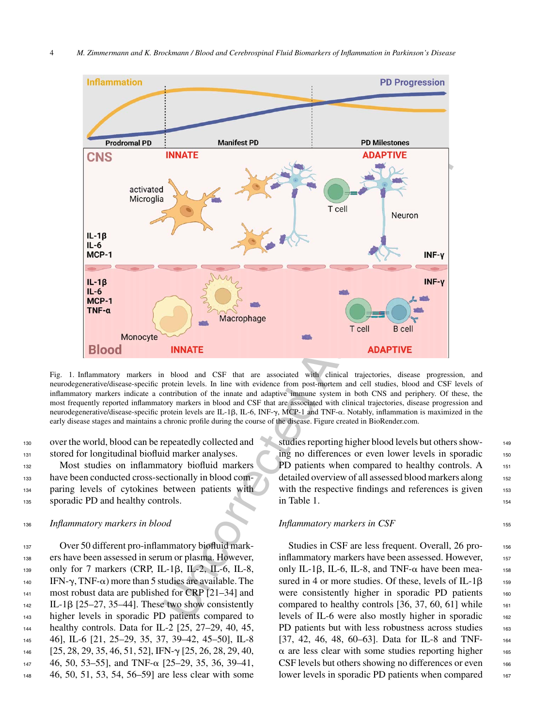

Fig. 1. Inflammatory markers in blood and CSF that are associated with clinical trajectories, disease progression, and neurodegenerative/disease-specific protein levels. In line with evidence from post-mortem and cell studies, blood and CSF levels of inflammatory markers indicate a contribution of the innate and adaptive immune system in both CNS and periphery. Of these, the most frequently reported inflammatory markers in blood and CSF that are associated with clinical trajectories, disease progression and neurodegenerative/disease-specific protein levels are IL-1 $\beta$ , IL-6, INF- $\gamma$ , MCP-1 and TNF- $\alpha$ . Notably, inflammation is maximized in the early disease stages and maintains a chronic profile during the course of the disease. Figure created in BioRender.com.

<sup>130</sup> over the world, blood can be repeatedly collected and 131 stored for longitudinal biofluid marker analyses.

 Most studies on inflammatory biofluid markers have been conducted cross-sectionally in blood com- paring levels of cytokines between patients with sporadic PD and healthy controls.

#### <sup>136</sup> *Inflammatory markers in blood*

 Over 50 different pro-inflammatory biofluid mark- ers have been assessed in serum or plasma. However, 139 only for 7 markers (CRP, IL-1 $\beta$ , IL-2, IL-6, IL-8,  $_{140}$  IFN- $\gamma$ , TNF- $\alpha$ ) more than 5 studies are available. The 141 most robust data are published for CRP [21–34] and IL-1 $\beta$  [25–27, 35–44]. These two show consistently higher levels in sporadic PD patients compared to healthy controls. Data for IL-2 [25, 27–29, 40, 45, 46], IL-6 [21, 25–29, 35, 37, 39–42, 45–50], IL-8  $[25, 28, 29, 35, 46, 51, 52]$ , IFN- $\gamma$   $[25, 26, 28, 29, 40,$  46, 50, 53–55], and TNF- $\alpha$  [25–29, 35, 36, 39–41, 46, 50, 51, 53, 54, 56–59] are less clear with some

studies reporting higher blood levels but others showing no differences or even lower levels in sporadic 150 PD patients when compared to healthy controls. A 151 detailed overview of all assessed blood markers along 152 with the respective findings and references is given  $153$ in Table 1.  $154$ 

#### *Inflammatory markers in CSF* 155

Studies in CSF are less frequent. Overall, 26 proinflammatory markers have been assessed. However, 157 only IL-1 $\beta$ , IL-6, IL-8, and TNF- $\alpha$  have been mea- 158 sured in 4 or more studies. Of these, levels of IL-1 $\beta$ <sub>159</sub> were consistently higher in sporadic PD patients 160 compared to healthy controls  $[36, 37, 60, 61]$  while  $\qquad$ levels of IL-6 were also mostly higher in sporadic 162 PD patients but with less robustness across studies 163 [37, 42, 46, 48, 60–63]. Data for IL-8 and TNF- 164  $\alpha$  are less clear with some studies reporting higher  $\alpha$  $CSF$  levels but others showing no differences or even  $166$ lower levels in sporadic PD patients when compared 167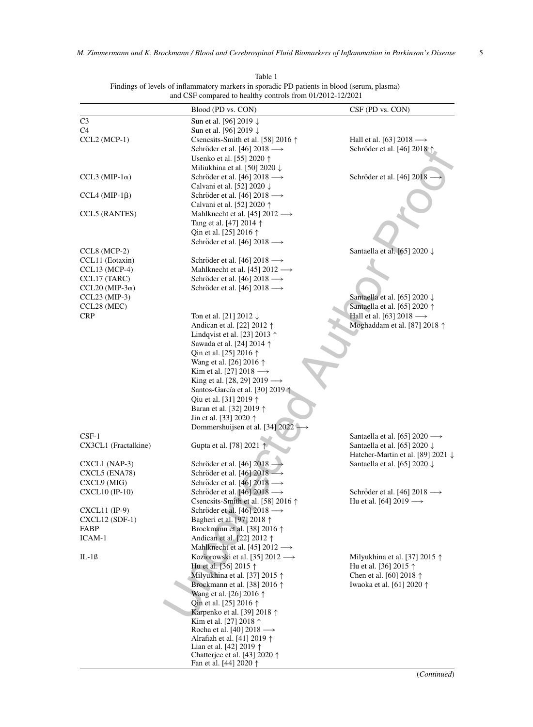|                         | Blood (PD vs. CON)                                          | CSF (PD vs. CON)                                                |
|-------------------------|-------------------------------------------------------------|-----------------------------------------------------------------|
| C <sub>3</sub>          | Sun et al. [96] 2019 ↓                                      |                                                                 |
| C4                      | Sun et al. [96] 2019 ↓                                      |                                                                 |
| CCL2 (MCP-1)            | Csencsits-Smith et al. [58] 2016 $\uparrow$                 | Hall et al. [63] 2018 $\longrightarrow$                         |
|                         | Schröder et al. [46] 2018 $\longrightarrow$                 | Schröder et al. [46] 2018 \                                     |
|                         | Usenko et al. [55] 2020 ↑                                   |                                                                 |
|                         | Miliukhina et al. [50] 2020 $\downarrow$                    |                                                                 |
| $CCL3 (MIP-1\alpha)$    | Schröder et al. [46] 2018 $\longrightarrow$                 | Schröder et al. [46] 2018                                       |
|                         | Calvani et al. [52] 2020 ↓                                  |                                                                 |
| $CCL4 (MIP-1\beta)$     | Schröder et al. [46] 2018 $\longrightarrow$                 |                                                                 |
|                         | Calvani et al. [52] 2020 ↑                                  |                                                                 |
| <b>CCL5</b> (RANTES)    | Mahlknecht et al. [45] 2012 -                               |                                                                 |
|                         | Tang et al. [47] 2014 $\uparrow$                            |                                                                 |
|                         | Qin et al. [25] 2016 $\uparrow$                             |                                                                 |
|                         | Schröder et al. [46] 2018 $\longrightarrow$                 |                                                                 |
| $CCL8 (MCP-2)$          |                                                             | Santaella et al. [65] 2020 ↓                                    |
| CCL11 (Eotaxin)         | Schröder et al. [46] 2018 $\longrightarrow$                 |                                                                 |
| $CCL13 (MCP-4)$         | Mahlknecht et al. [45] $2012 \rightarrow$                   |                                                                 |
| CCL17 (TARC)            | Schröder et al. [46] 2018 $\longrightarrow$                 |                                                                 |
| CCL20 (MIP-3 $\alpha$ ) | Schröder et al. [46] 2018 $\longrightarrow$                 |                                                                 |
| $CCL23 (MIP-3)$         |                                                             | Santaella et al. [65] 2020 ↓                                    |
| CCL28 (MEC)             |                                                             | Santaella et al. [65] 2020 ↑                                    |
| <b>CRP</b>              | Ton et al. [21] 2012 $\downarrow$                           | Hall et al. [63] 2018 $\longrightarrow$                         |
|                         | Andican et al. [22] 2012 ↑                                  | Moghaddam et al. [87] 2018 ↑                                    |
|                         | Lindqvist et al. [23] 2013 $\uparrow$                       |                                                                 |
|                         | Sawada et al. [24] 2014 ↑                                   |                                                                 |
|                         | Qin et al. [25] 2016 $\uparrow$                             |                                                                 |
|                         | Wang et al. [26] 2016 ↑                                     |                                                                 |
|                         | Kim et al. [27] 2018 $\longrightarrow$                      |                                                                 |
|                         | King et al. [28, 29] 2019 $\longrightarrow$                 |                                                                 |
|                         | Santos-García et al. [30] 2019                              |                                                                 |
|                         | Qiu et al. [31] 2019 1                                      |                                                                 |
|                         | Baran et al. [32] 2019 ↑                                    |                                                                 |
|                         | Jin et al. [33] 2020 $\uparrow$                             |                                                                 |
|                         | Dommershuijsen et al. [34] 2022                             |                                                                 |
| $CSF-1$                 |                                                             | Santaella et al. [65] 2020 $\longrightarrow$                    |
| CX3CL1 (Fractalkine)    | Gupta et al. [78] 2021 1                                    | Santaella et al. [65] 2020 $\downarrow$                         |
|                         |                                                             | Hatcher-Martin et al. [89] 2021 ↓                               |
| CXCL1 (NAP-3)           | Schröder et al. [46] 2018                                   | Santaella et al. [65] 2020 $\downarrow$                         |
| CXCL5 (ENA78)           | Schröder et al. [46] 2018 -                                 |                                                                 |
| CXCL9 (MIG)             | Schröder et al. [46] $2018 \rightarrow$                     |                                                                 |
| CXCL10 (IP-10)          | Schröder et al. [46] 2018 $\longrightarrow$                 | Schröder et al. [46] 2018 $\longrightarrow$                     |
|                         | Csencsits-Smith et al. [58] 2016 $\uparrow$                 | Hu et al. [64] 2019 $\longrightarrow$                           |
| CXCL11 (IP-9)           | Schröder et al. [46] 2018 $\longrightarrow$                 |                                                                 |
| $\text{CXCL12 (SDF-1)}$ | Bagheri et al. [97] 2018 ↑                                  |                                                                 |
| FABP                    | Brockmann et al. [38] 2016 ↑                                |                                                                 |
| ICAM-1                  | Andican et al. [22] 2012 ↑<br>Mahlknecht et al. [45] 2012 - |                                                                 |
|                         | Koziorowski et al. [35] $2012 \rightarrow$                  |                                                                 |
| $IL-1B$                 | Hu et al. [36] 2015 ↑                                       | Milyukhina et al. [37] 2015 $\uparrow$<br>Hu et al. [36] 2015 ↑ |
|                         | Milyukhina et al. [37] 2015 $\uparrow$                      | Chen et al. [60] 2018 $\uparrow$                                |
|                         | Brockmann et al. [38] 2016 ↑                                | Iwaoka et al. [61] 2020 ↑                                       |
|                         | Wang et al. [26] 2016 ↑                                     |                                                                 |
|                         | Qin et al. [25] 2016 $\uparrow$                             |                                                                 |
|                         | Karpenko et al. [39] 2018 ↑                                 |                                                                 |
|                         | Kim et al. [27] 2018 ↑                                      |                                                                 |
|                         | Rocha et al. [40] 2018 $\longrightarrow$                    |                                                                 |
|                         | Alrafiah et al. [41] 2019 ↑                                 |                                                                 |
|                         | Lian et al. [42] 2019 $\uparrow$                            |                                                                 |
|                         | Chatterjee et al. [43] 2020 ↑                               |                                                                 |
|                         | Fan et al. [44] 2020 $\uparrow$                             |                                                                 |

Table 1 Findings of levels of inflammatory markers in sporadic PD patients in blood (serum, plasma) and CSF compared to healthy controls from 01/2012-12/2021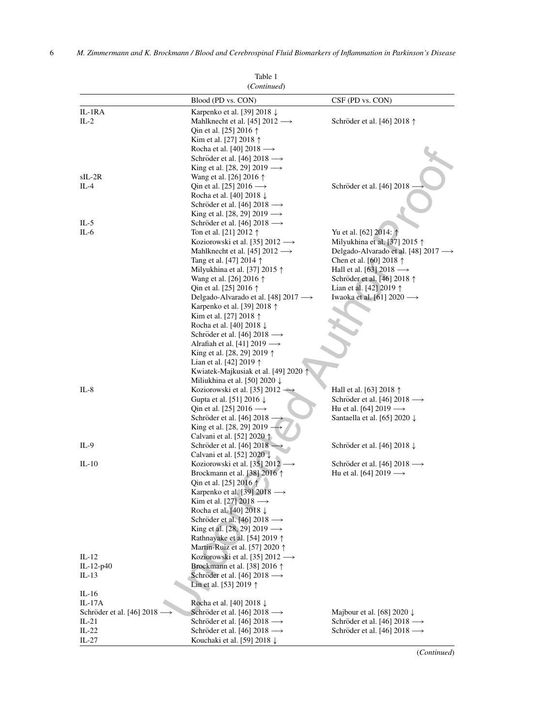|                           | (Continued)                                                                      |                                             |
|---------------------------|----------------------------------------------------------------------------------|---------------------------------------------|
|                           | Blood (PD vs. CON)                                                               | CSF (PD vs. CON)                            |
| IL-1RA                    | Karpenko et al. [39] 2018 ↓                                                      |                                             |
| $IL-2$                    | Mahlknecht et al. [45] $2012 \rightarrow$                                        | Schröder et al. [46] 2018 ↑                 |
|                           | Qin et al. [25] 2016 $\uparrow$                                                  |                                             |
|                           | Kim et al. [27] 2018 $\uparrow$                                                  |                                             |
|                           | Rocha et al. [40] 2018 $\longrightarrow$                                         |                                             |
|                           | Schröder et al. [46] 2018 $\longrightarrow$                                      |                                             |
|                           | King et al. [28, 29] 2019 $\longrightarrow$                                      |                                             |
| $sIL-2R$                  | Wang et al. [26] 2016 ↑                                                          |                                             |
| IL-4                      | Qin et al. [25] 2016 $\longrightarrow$                                           | Schröder et al. [46] 2018                   |
|                           | Rocha et al. [40] 2018 ↓                                                         |                                             |
|                           | Schröder et al. [46] 2018 $\longrightarrow$                                      |                                             |
|                           | King et al. [28, 29] 2019 $\longrightarrow$                                      |                                             |
| IL-5                      | Schröder et al. [46] 2018 $\longrightarrow$                                      |                                             |
| IL-6                      | Ton et al. [21] 2012 $\uparrow$                                                  | Yu et al. [62] 2014: \                      |
|                           | Koziorowski et al. [35] 2012 $\longrightarrow$                                   | Milyukhina et al. [37] 2015 ↑               |
|                           | Mahlknecht et al. [45] 2012 -                                                    | Delgado-Alvarado et al. [48] 2017 →         |
|                           | Tang et al. [47] 2014 ↑                                                          | Chen et al. [60] 2018 $\uparrow$            |
|                           | Milyukhina et al. [37] 2015 $\uparrow$                                           | Hall et al. [63] 2018 $\longrightarrow$     |
|                           | Wang et al. [26] 2016 ↑                                                          | Schröder et al. [46] 2018 ↑                 |
|                           | Qin et al. [25] 2016 ↑                                                           | Lian et al. [42] 2019 ↑                     |
|                           | Delgado-Alvarado et al. [48] 2017 $\longrightarrow$                              | Iwaoka et al. [61] 2020 $\longrightarrow$   |
|                           | Karpenko et al. [39] 2018 ↑                                                      |                                             |
|                           | Kim et al. [27] 2018 ↑                                                           |                                             |
|                           | Rocha et al. [40] 2018 ↓                                                         |                                             |
|                           | Schröder et al. [46] 2018 $\longrightarrow$                                      |                                             |
|                           | Alrafiah et al. [41] 2019 $\longrightarrow$                                      |                                             |
|                           | King et al. [28, 29] 2019 ↑                                                      |                                             |
|                           | Lian et al. [42] 2019 ↑                                                          |                                             |
|                           | Kwiatek-Majkusiak et al. [49] 2020                                               |                                             |
|                           | Miliukhina et al. [50] 2020 $\downarrow$                                         |                                             |
| $IL-8$                    | Koziorowski et al. [35] $2012 -$                                                 | Hall et al. [63] 2018 $\uparrow$            |
|                           | Gupta et al. [51] 2016 $\downarrow$                                              | Schröder et al. [46] 2018 $\longrightarrow$ |
|                           | Qin et al. [25] 2016 $\longrightarrow$                                           | Hu et al. [64] 2019 $\longrightarrow$       |
|                           | Schröder et al. [46] 2018                                                        | Santaella et al. [65] 2020 ↓                |
|                           | King et al. [28, 29] 2019 ·                                                      |                                             |
| $IL-9$                    | Calvani et al. [52] 2020 $\uparrow$                                              |                                             |
|                           | Schröder et al. [46] 2018 $\rightarrow$<br>Calvani et al. [52] 2020 $\downarrow$ | Schröder et al. [46] 2018 ↓                 |
| $IL-10$                   | Koziorowski et al. [35] 2012 $\longrightarrow$                                   | Schröder et al. [46] 2018 $\longrightarrow$ |
|                           | Brockmann et al. [38] 2016 ↑                                                     | Hu et al. [64] 2019 $\longrightarrow$       |
|                           | Qin et al. [25] 2016 $\uparrow$                                                  |                                             |
|                           | Karpenko et al. [39] 2018 $\longrightarrow$                                      |                                             |
|                           | Kim et al. [27] 2018 $\longrightarrow$                                           |                                             |
|                           | Rocha et al. [40] 2018 $\downarrow$                                              |                                             |
|                           | Schröder et al. [46] 2018 $\longrightarrow$                                      |                                             |
|                           | King et al. [28, 29] 2019 $\longrightarrow$                                      |                                             |
|                           | Rathnayake et al. [54] 2019 ↑                                                    |                                             |
|                           | Martin-Ruiz et al. [57] 2020 ↑                                                   |                                             |
| $IL-12$                   | Koziorowski et al. [35] 2012 $\longrightarrow$                                   |                                             |
| IL-12-p40                 | Brockmann et al. [38] 2016 $\uparrow$                                            |                                             |
| IL-13                     | Schröder et al. [46] 2018 $\longrightarrow$                                      |                                             |
|                           | Lin et al. [53] 2019 $\uparrow$                                                  |                                             |
| $IL-16$                   |                                                                                  |                                             |
| IL-17A                    | Rocha et al. [40] 2018 $\downarrow$                                              |                                             |
| Schröder et al. [46] 2018 | Schröder et al. [46] 2018 $\longrightarrow$                                      | Majbour et al. [68] 2020 $\downarrow$       |
| $IL-21$                   | Schröder et al. [46] 2018 $\longrightarrow$                                      | Schröder et al. [46] 2018 $\longrightarrow$ |
| $IL-22$                   | Schröder et al. [46] 2018 $\longrightarrow$                                      | Schröder et al. [46] 2018 $\longrightarrow$ |
| $IL-27$                   | Kouchaki et al. [59] 2018 ↓                                                      |                                             |

Table 1

(*Continued*)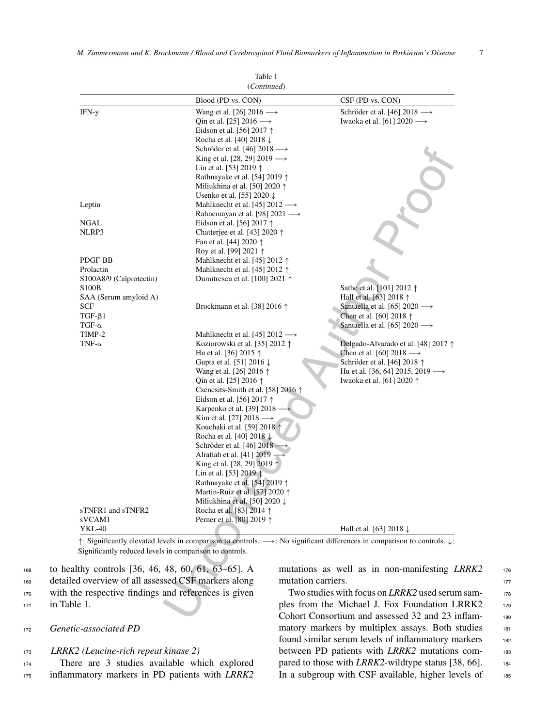|                                                                               | (Continued)                                                                                                                                                                                                                                                                                                                                                                                                                                                                                                                                                                                                                                                                                                                                                         |                                                                                                                                                                                               |
|-------------------------------------------------------------------------------|---------------------------------------------------------------------------------------------------------------------------------------------------------------------------------------------------------------------------------------------------------------------------------------------------------------------------------------------------------------------------------------------------------------------------------------------------------------------------------------------------------------------------------------------------------------------------------------------------------------------------------------------------------------------------------------------------------------------------------------------------------------------|-----------------------------------------------------------------------------------------------------------------------------------------------------------------------------------------------|
|                                                                               | Blood (PD vs. CON)                                                                                                                                                                                                                                                                                                                                                                                                                                                                                                                                                                                                                                                                                                                                                  | CSF (PD vs. CON)                                                                                                                                                                              |
| IFN-y                                                                         | Wang et al. [26] 2016 $\longrightarrow$<br>Qin et al. [25] 2016 $\longrightarrow$<br>Eidson et al. [56] 2017 $\uparrow$<br>Rocha et al. [40] 2018 ↓<br>Schröder et al. [46] 2018 $\longrightarrow$<br>King et al. [28, 29] 2019 $\longrightarrow$<br>Lin et al. [53] 2019 $\uparrow$<br>Rathnayake et al. [54] 2019 $\uparrow$<br>Miliukhina et al. [50] 2020 $\uparrow$<br>Usenko et al. [55] 2020 ↓                                                                                                                                                                                                                                                                                                                                                               | Schröder et al. [46] 2018 $\longrightarrow$<br>Iwaoka et al. [61] 2020 $\longrightarrow$                                                                                                      |
| Leptin                                                                        | Mahlknecht et al. [45] $2012 \rightarrow$<br>Rahnemayan et al. [98] 2021 $\longrightarrow$                                                                                                                                                                                                                                                                                                                                                                                                                                                                                                                                                                                                                                                                          |                                                                                                                                                                                               |
| NGAL<br>NLRP3                                                                 | Eidson et al. [56] 2017 $\uparrow$<br>Chatterjee et al. [43] 2020 ↑<br>Fan et al. [44] 2020 $\uparrow$                                                                                                                                                                                                                                                                                                                                                                                                                                                                                                                                                                                                                                                              |                                                                                                                                                                                               |
| PDGF-BB<br>Prolactin<br>S100A8/9 (Calprotectin)                               | Roy et al. [99] 2021 $\uparrow$<br>Mahlknecht et al. [45] 2012 $\uparrow$<br>Mahlknecht et al. [45] 2012 $\uparrow$<br>Dumitrescu et al. [100] 2021 $\uparrow$                                                                                                                                                                                                                                                                                                                                                                                                                                                                                                                                                                                                      |                                                                                                                                                                                               |
| <b>S100B</b><br>SAA (Serum amyloid A)<br>SCF<br>$TGF-\beta1$<br>TGF- $\alpha$ | Brockmann et al. [38] 2016 $\uparrow$                                                                                                                                                                                                                                                                                                                                                                                                                                                                                                                                                                                                                                                                                                                               | Sathe et al. [101] 2012 ↑<br>Hall et al. [63] 2018 ↑<br>Santaella et al. [65] 2020 $\longrightarrow$<br>Chen et al. [60] 2018 ↑<br>Santaella et al. [65] 2020 $\longrightarrow$               |
| TIMP-2<br>TNF- $\alpha$<br>sTNFR1 and sTNFR2<br>sVCAM1                        | Mahlknecht et al. [45] $2012 \rightarrow$<br>Koziorowski et al. [35] 2012 $\uparrow$<br>Hu et al. [36] 2015 $\uparrow$<br>Gupta et al. [51] 2016 $\downarrow$<br>Wang et al. [26] 2016 $\uparrow$<br>Qin et al. [25] 2016 $\uparrow$<br>Csencsits-Smith et al. [58] 2016 \<br>Eidson et al. [56] 2017 $\uparrow$<br>Karpenko et al. [39] 2018<br>Kim et al. [27] 2018 $\longrightarrow$<br>Kouchaki et al. [59] 2018 1<br>Rocha et al. [40] 2018 $\downarrow$<br>Schröder et al. [46] 2018 -<br>Alrafiah et al. [41] 2019<br>King et al. [28, 29] 2019 ↑<br>Lin et al. [53] 2019 $\uparrow$<br>Rathnayake et al. [54] 2019 ↑<br>Martin-Ruiz et al. [57] 2020 ↑<br>Miliukhina et al. [50] 2020 $\downarrow$<br>Rocha et al. [83] 2014 ↑<br>Perner et al. [80] 2019 ↑ | Delgado-Alvarado et al. [48] 2017 ↑<br>Chen et al. [60] 2018 $\longrightarrow$<br>Schröder et al. [46] 2018 ↑<br>Hu et al. [36, 64] 2015, 2019 $\longrightarrow$<br>Iwaoka et al. [61] 2020 ↑ |
| YKL-40                                                                        |                                                                                                                                                                                                                                                                                                                                                                                                                                                                                                                                                                                                                                                                                                                                                                     | Hall et al. [63] 2018 $\downarrow$                                                                                                                                                            |
| Significantly reduced levels in comparison to controls.                       |                                                                                                                                                                                                                                                                                                                                                                                                                                                                                                                                                                                                                                                                                                                                                                     | $\uparrow$ : Significantly elevated levels in comparison to controls. $\rightarrow$ : No significant differences in comparison to controls. $\downarrow$ :                                    |
| lthy controls [36, 46, 48, 60, 61, 63–65]. A                                  |                                                                                                                                                                                                                                                                                                                                                                                                                                                                                                                                                                                                                                                                                                                                                                     | mutations as well as in non-manifesting L                                                                                                                                                     |
| ed overview of all assessed CSF markers along                                 |                                                                                                                                                                                                                                                                                                                                                                                                                                                                                                                                                                                                                                                                                                                                                                     | mutation carriers.                                                                                                                                                                            |
| he respective findings and references is given<br>le 1.                       |                                                                                                                                                                                                                                                                                                                                                                                                                                                                                                                                                                                                                                                                                                                                                                     | Two studies with focus on <i>LRRK2</i> used serun<br>ples from the Michael J. Fox Foundation L.                                                                                               |
|                                                                               |                                                                                                                                                                                                                                                                                                                                                                                                                                                                                                                                                                                                                                                                                                                                                                     | Cohort Consortium and assessed 32 and 23 in                                                                                                                                                   |

Table 1

 to healthy controls [36, 46, 48, 60, 61, 63–65]. A detailed overview of all assessed CSF markers along with the respective findings and references is given in Table 1.

#### <sup>172</sup> *Genetic-associated PD*

#### <sup>173</sup> *LRRK2 (Leucine-rich repeat kinase 2)*

<sup>174</sup> There are 3 studies available which explored <sup>175</sup> inflammatory markers in PD patients with *LRRK2*

mutations as well as in non-manifesting *LRRK2* 176 mutation carriers.

Two studies with focus on *LRRK2* used serum samples from the Michael J. Fox Foundation LRRK2 179 Cohort Consortium and assessed 32 and 23 inflam- <sup>180</sup> matory markers by multiplex assays. Both studies 181 found similar serum levels of inflammatory markers 182 between PD patients with *LRRK2* mutations compared to those with *LRRK2*-wildtype status [38, 66]. 184 In a subgroup with CSF available, higher levels of 185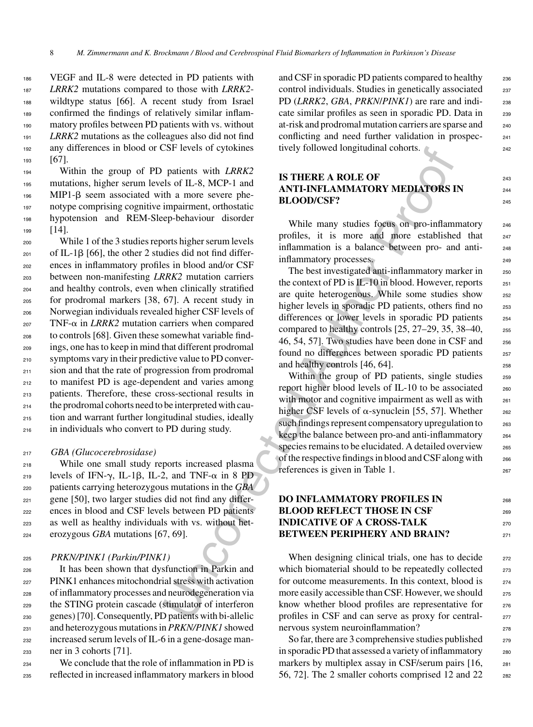VEGF and IL-8 were detected in PD patients with *LRRK2* mutations compared to those with *LRRK2*- wildtype status [66]. A recent study from Israel confirmed the findings of relatively similar inflam- matory profiles between PD patients with vs. without *LRRK2* mutations as the colleagues also did not find any differences in blood or CSF levels of cytokines 193 [67].

 Within the group of PD patients with *LRRK2* mutations, higher serum levels of IL-8, MCP-1 and MIP1- $\beta$  seem associated with a more severe phe- notype comprising cognitive impairment, orthostatic hypotension and REM-Sleep-behaviour disorder 199 [14].

 While 1 of the 3 studies reports higher serum levels  $_{201}$  of IL-1B [66], the other 2 studies did not find differ- ences in inflammatory profiles in blood and/or CSF between non-manifesting *LRRK2* mutation carriers and healthy controls, even when clinically stratified for prodromal markers [38, 67]. A recent study in Norwegian individuals revealed higher CSF levels of TNF- $\alpha$  in *LRRK2* mutation carriers when compared to controls [68]. Given these somewhat variable find- ings, one has to keep in mind that different prodromal symptoms vary in their predictive value to PD conver-211 sion and that the rate of progression from prodromal to manifest PD is age-dependent and varies among patients. Therefore, these cross-sectional results in the prodromal cohorts need to be interpreted with cau- tion and warrant further longitudinal studies, ideally in individuals who convert to PD during study.

#### <sup>217</sup> *GBA (Glucocerebrosidase)*

 While one small study reports increased plasma 219 levels of IFN- $\gamma$ , IL-1 $\beta$ , IL-2, and TNF- $\alpha$  in 8 PD patients carrying heterozygous mutations in the *GBA* gene [50], two larger studies did not find any differ- ences in blood and CSF levels between PD patients as well as healthy individuals with vs. without het-erozygous *GBA* mutations [67, 69].

#### <sup>225</sup> *PRKN/PINK1 (Parkin/PINK1)*

 It has been shown that dysfunction in Parkin and PINK1 enhances mitochondrial stress with activation of inflammatory processes and neurodegeneration via the STING protein cascade (stimulator of interferon genes) [70]. Consequently, PD patients with bi-allelic and heterozygous mutations in *PRKN/PINK1* showed increased serum levels of IL-6 in a gene-dosage man-ner in 3 cohorts [71].

<sup>234</sup> We conclude that the role of inflammation in PD is <sup>235</sup> reflected in increased inflammatory markers in blood

and CSF in sporadic PD patients compared to healthy 236 control individuals. Studies in genetically associated <sub>237</sub> PD (*LRRK2*, *GBA*, *PRKN*/*PINK1*) are rare and indi- <sup>238</sup> cate similar profiles as seen in sporadic PD. Data in 239 at-risk and prodromal mutation carriers are sparse and <sup>240</sup> conflicting and need further validation in prospec- <sup>241</sup> tively followed longitudinal cohorts.

### **IS THERE A ROLE OF 243 ANTI-INFLAMMATORY MEDIATORS IN BLOOD/CSF?** 245

While many studies focus on pro-inflammatory 246 profiles, it is more and more established that <sup>247</sup> inflammation is a balance between pro- and anti- <sup>248</sup> inflammatory processes. 249

The best investigated anti-inflammatory marker in <sub>250</sub> the context of PD is  $IL-10$  in blood. However, reports  $251$ are quite heterogenous. While some studies show 252 higher levels in sporadic PD patients, others find no 253 differences or lower levels in sporadic PD patients 254 compared to healthy controls  $[25, 27-29, 35, 38-40,$  255 46, 54, 57]. Two studies have been done in CSF and <sup>256</sup> found no differences between sporadic PD patients 257 and healthy controls  $[46, 64]$ .

SSF levels of cytokines<br>
The Vast Correction in the CMA MICINET (Data and the CMA MICINET AUTHER AND INCREDITY and the same severe phe-<br>
ANTI-THITELA MICINET AUTHOR INDIFFORMATORY MEDIATORS In<br>
impairment orthostatic orpor Within the group of PD patients, single studies 259 report higher blood levels of IL-10 to be associated 260 with motor and cognitive impairment as well as with <sub>261</sub> higher CSF levels of  $\alpha$ -synuclein [55, 57]. Whether  $_{262}$ such findings represent compensatory upregulation to 263 keep the balance between pro-and anti-inflammatory 264 species remains to be elucidated. A detailed overview 265 of the respective findings in blood and CSF along with <sup>266</sup> references is given in Table 1. 267

### **DO INFLAMMATORY PROFILES IN BLOOD REFLECT THOSE IN CSF INDICATIVE OF A CROSS-TALK** 270 **BETWEEN PERIPHERY AND BRAIN?** 271

When designing clinical trials, one has to decide 272 which biomaterial should to be repeatedly collected 273 for outcome measurements. In this context, blood is  $274$ more easily accessible than CSF. However, we should <sub>275</sub> know whether blood profiles are representative for 276 profiles in CSF and can serve as proxy for centralnervous system neuroinflammation? 278

So far, there are 3 comprehensive studies published  $_{279}$ in sporadic PD that assessed a variety of inflammatory 280 markers by multiplex assay in CSF/serum pairs [16, 281 56, 72]. The 2 smaller cohorts comprised 12 and  $22$  282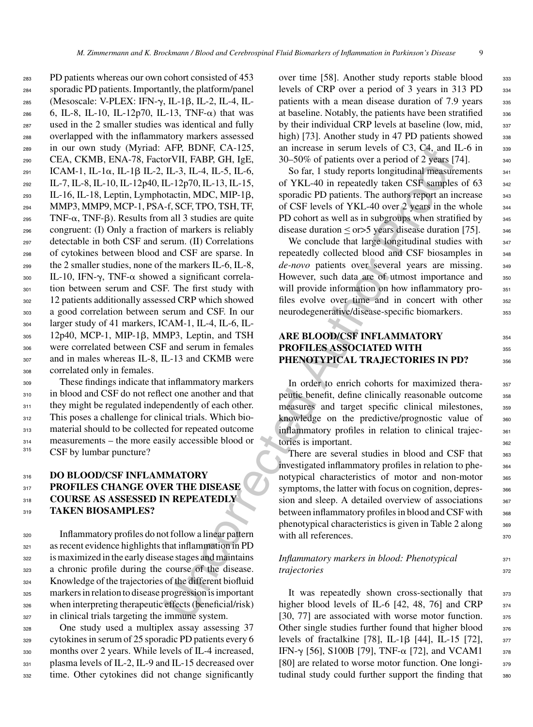APE, BDNN; CA-125, an increase in section between infermal and ET and TRL and TRL and TRL and TL-5, TL-4, TL-5, TL-4, TL-5, TL-4, TL-5, TL-4, TL-5, TL-4, TL-5, TL-4, TL-5, TL-4, TL-5, TL-4, TL-5, TL-1, TL-5, TL-4, TL-5, T PD patients whereas our own cohort consisted of 453 sporadic PD patients. Importantly, the platform/panel 285 (Mesoscale: V-PLEX: IFN-γ, IL-1β, IL-2, IL-4, IL- 6, IL-8, IL-10, IL-12p70, IL-13, TNF- $\alpha$ ) that was used in the 2 smaller studies was identical and fully overlapped with the inflammatory markers assessed in our own study (Myriad: AFP, BDNF, CA-125, CEA, CKMB, ENA-78, FactorVII, FABP, GH, IgE,  $_{291}$  ICAM-1, IL-1 $\alpha$ , IL-1 $\beta$  IL-2, IL-3, IL-4, IL-5, IL-6, IL-7, IL-8, IL-10, IL-12p40, IL-12p70, IL-13, IL-15, IL-16, IL-18, Leptin, Lymphotactin, MDC, MIP-1 $\beta$ , MMP3, MMP9, MCP-1, PSA-f, SCF, TPO, TSH, TF, TNF- $\alpha$ , TNF- $\beta$ ). Results from all 3 studies are quite congruent: (I) Only a fraction of markers is reliably detectable in both CSF and serum. (II) Correlations of cytokines between blood and CSF are sparse. In the 2 smaller studies, none of the markers IL-6, IL-8, 300 IL-10, IFN- $\gamma$ , TNF- $\alpha$  showed a significant correla- tion between serum and CSF. The first study with 12 patients additionally assessed CRP which showed a good correlation between serum and CSF. In our larger study of 41 markers, ICAM-1, IL-4, IL-6, IL-305 12p40, MCP-1, MIP-1 $\beta$ , MMP3, Leptin, and TSH were correlated between CSF and serum in females and in males whereas IL-8, IL-13 and CKMB were correlated only in females.

<sup>309</sup> These findings indicate that inflammatory markers 310 in blood and CSF do not reflect one another and that 311 they might be regulated independently of each other. <sup>312</sup> This poses a challenge for clinical trials. Which bio-<sup>313</sup> material should to be collected for repeated outcome <sup>314</sup> measurements – the more easily accessible blood or <sup>315</sup> CSF by lumbar puncture?

### <sup>316</sup> **DO BLOOD/CSF INFLAMMATORY** <sup>317</sup> **PROFILES CHANGE OVER THE DISEASE** <sup>318</sup> **COURSE AS ASSESSED IN REPEATEDLY** <sup>319</sup> **TAKEN BIOSAMPLES?**

 Inflammatory profiles do not follow a linear pattern as recent evidence highlights that inflammation in PD is maximized in the early disease stages and maintains a chronic profile during the course of the disease. Knowledge of the trajectories of the different biofluid markers in relation to disease progression is important when interpreting therapeutic effects (beneficial/risk) in clinical trials targeting the immune system.

 One study used a multiplex assay assessing 37 cytokines in serum of 25 sporadic PD patients every 6 months over 2 years. While levels of IL-4 increased, 331 plasma levels of IL-2, IL-9 and IL-15 decreased over time. Other cytokines did not change significantly

over time [58]. Another study reports stable blood 333 levels of CRP over a period of 3 years in 313 PD 334 patients with a mean disease duration of 7.9 years 335 at baseline. Notably, the patients have been stratified 336 by their individual CRP levels at baseline (low, mid,  $337$ high) [73]. Another study in 47 PD patients showed  $338$ an increase in serum levels of C3, C4, and IL-6 in  $339$  $30-50\%$  of patients over a period of 2 years [74].  $30-50\%$  of patients over a period of 2 years [74].

So far, 1 study reports longitudinal measurements  $341$ of YKL-40 in repeatedly taken CSF samples of 63 342 sporadic PD patients. The authors report an increase 343 of CSF levels of YKL-40 over 2 years in the whole 344 PD cohort as well as in subgroups when stratified by  $345$ disease duration  $\leq$  or  $>$  5 years disease duration [75]. 346

We conclude that large longitudinal studies with  $347$ repeatedly collected blood and CSF biosamples in 348 *de-novo* patients over several years are missing. 349 However, such data are of utmost importance and 350 will provide information on how inflammatory pro-<br><sub>351</sub> files evolve over time and in concert with other 352 neurodegenerative/disease-specific biomarkers. 353

### **ARE BLOOD/CSF INFLAMMATORY** <sup>354</sup> **PROFILES ASSOCIATED WITH** <sup>355</sup> **PHENOTYPICAL TRAJECTORIES IN PD?** 356

In order to enrich cohorts for maximized thera-<br>357 peutic benefit, define clinically reasonable outcome 358 measures and target specific clinical milestones, 359 knowledge on the predictive/prognostic value of  $360$ inflammatory profiles in relation to clinical trajec-<br><sub>361</sub> tories is important.

There are several studies in blood and CSF that 363 investigated inflammatory profiles in relation to phe-<br><sub>364</sub> notypical characteristics of motor and non-motor 365 symptoms, the latter with focus on cognition, depres- 366 sion and sleep. A detailed overview of associations  $367$ between inflammatory profiles in blood and CSF with 368 phenotypical characteristics is given in Table 2 along 369 with all references.

### *Inflammatory markers in blood: Phenotypical* 371 *trajectories* 372

It was repeatedly shown cross-sectionally that 373 higher blood levels of IL-6  $[42, 48, 76]$  and CRP  $374$ [30, 77] are associated with worse motor function. 375 Other single studies further found that higher blood 376 levels of fractalkine [78], IL-1 $\beta$  [44], IL-15 [72],  $\frac{377}{4}$ IFN-γ [56], S100B [79], TNF- $\alpha$  [72], and VCAM1 376 [80] are related to worse motor function. One longi- 379 tudinal study could further support the finding that 380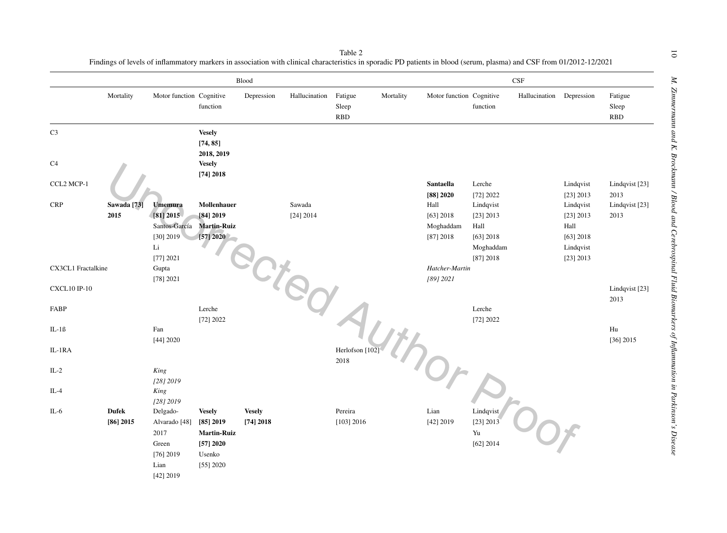|                     |                        |                          |                                         | Blood         |                       |                             |           | $\mathbf{CSF}$           |                     |                          |                        |                                |
|---------------------|------------------------|--------------------------|-----------------------------------------|---------------|-----------------------|-----------------------------|-----------|--------------------------|---------------------|--------------------------|------------------------|--------------------------------|
|                     | Mortality              | Motor function Cognitive | function                                | Depression    | Hallucination Fatigue | ${\rm Sleep}$<br><b>RBD</b> | Mortality | Motor function Cognitive | function            | Hallucination Depression |                        | Fatigue<br>Sleep<br><b>RBD</b> |
| C <sub>3</sub>      |                        |                          | <b>Vesely</b><br>[74, 85]<br>2018, 2019 |               |                       |                             |           |                          |                     |                          |                        |                                |
| C <sub>4</sub>      |                        |                          | <b>Vesely</b><br>[74] 2018              |               |                       |                             |           |                          |                     |                          |                        |                                |
| CCL2 MCP-1          |                        |                          |                                         |               |                       |                             |           | Santaella<br>[88] 2020   | Lerche<br>[72] 2022 |                          | Lindqvist<br>[23] 2013 | Lindqvist [23]<br>2013         |
| <b>CRP</b>          | Sawada <sup>[73]</sup> | <b>Umemura</b>           | Mollenhauer                             |               | Sawada                |                             |           | Hall                     | Lindqvist           |                          | Lindqvist              | Lindqvist [23]                 |
|                     | 2015                   | $[81]$ 2015              | [84] 2019                               |               | [24] 2014             |                             |           | $[63]$ 2018              | [23] 2013           |                          | [23] 2013              | 2013                           |
|                     |                        | Santos-García            | <b>Martin-Ruiz</b>                      |               |                       |                             |           | Moghaddam                | Hall                |                          | Hall                   |                                |
|                     |                        | $[30]$ 2019              | [57]2020                                |               |                       |                             |           | [87] 2018                | $[63]$ 2018         |                          | $[63]$ 2018            |                                |
|                     |                        | Li                       |                                         |               |                       |                             |           |                          | Moghaddam           |                          | Lindqvist              |                                |
|                     |                        | [77] 2021                |                                         |               |                       |                             |           |                          | [87] 2018           |                          | [23] 2013              |                                |
| CX3CL1 Fractalkine  |                        | Gupta                    |                                         |               |                       |                             |           | Hatcher-Martin           |                     |                          |                        |                                |
|                     |                        | [78] 2021                |                                         |               |                       |                             |           | [89] 2021                |                     |                          |                        |                                |
| <b>CXCL10 IP-10</b> |                        |                          |                                         |               |                       |                             |           |                          |                     |                          |                        | Lindqvist [23]                 |
|                     |                        |                          |                                         |               | Jied                  |                             |           |                          |                     |                          |                        | 2013                           |
| FABP                |                        |                          | Lerche                                  |               |                       |                             |           |                          | Lerche              |                          |                        |                                |
| $IL-1B$             |                        | Fan                      | [72] 2022                               |               |                       |                             |           |                          | [72] 2022           |                          |                        | $\rm{Hu}$                      |
|                     |                        | [44] 2020                |                                         |               |                       |                             |           |                          |                     |                          |                        | $[36]$ 2015                    |
| IL-1RA              |                        |                          |                                         |               |                       | Herlofson [102              |           |                          |                     |                          |                        |                                |
|                     |                        |                          |                                         |               |                       | 2018                        |           |                          |                     |                          |                        |                                |
| $IL-2$              |                        | King                     |                                         |               |                       |                             |           | Or                       |                     |                          |                        |                                |
|                     |                        | [28] 2019                |                                         |               |                       |                             |           |                          |                     |                          |                        |                                |
| $IL-4$              |                        | King                     |                                         |               |                       |                             |           |                          |                     |                          |                        |                                |
|                     |                        | $[28]$ 2019              |                                         |               |                       |                             |           |                          |                     |                          |                        |                                |
| $IL-6$              | <b>Dufek</b>           | Delgado-                 | <b>Vesely</b>                           | <b>Vesely</b> |                       | Pereira                     |           | Lian                     | Lindqvist           |                          |                        |                                |
|                     | $[86]$ 2015            | Alvarado <sup>[48]</sup> | $[85]$ 2019                             | [74] 2018     |                       | $[103]$ 2016                |           | [42] 2019                | [23] 2013           |                          |                        |                                |
|                     |                        | 2017                     | <b>Martin-Ruiz</b>                      |               |                       |                             |           |                          | Yu                  |                          |                        |                                |
|                     |                        | Green                    | [57] 2020                               |               |                       |                             |           |                          | [62] 2014           |                          |                        |                                |
|                     |                        | $[76]$ 2019              | Usenko                                  |               |                       |                             |           |                          |                     |                          |                        |                                |
|                     |                        | Lian                     | $[55]$ 2020                             |               |                       |                             |           |                          |                     |                          |                        |                                |
|                     |                        | [42] 2019                |                                         |               |                       |                             |           |                          |                     |                          |                        |                                |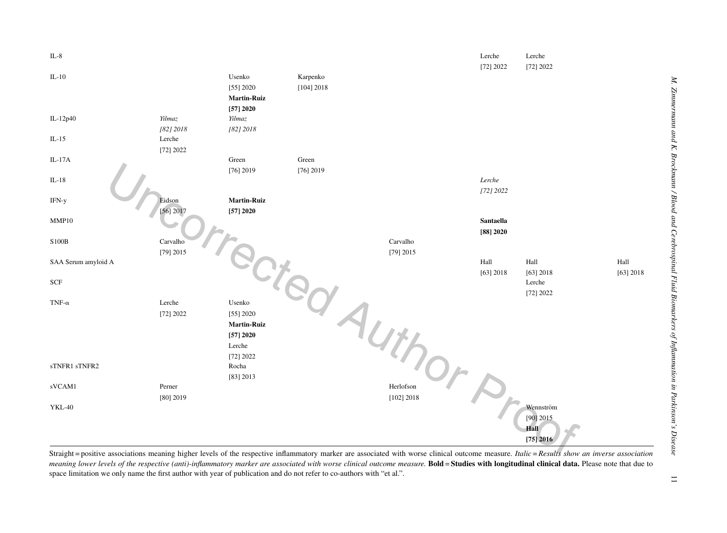

Straight = positive associations meaning higher levels of the respective inflammatory marker are associated with worse clinical outcome measure. Italic = Results show an inverse association meaning lower levels of the respective (anti)-inflammatory marker are associated with worse clinical outcome measure. Bold = Studies with longitudinal clinical data. Please note that due to space limitation we only name the first author with year of publication and do not refer to co-authors with "et al.".

 $\overline{1}$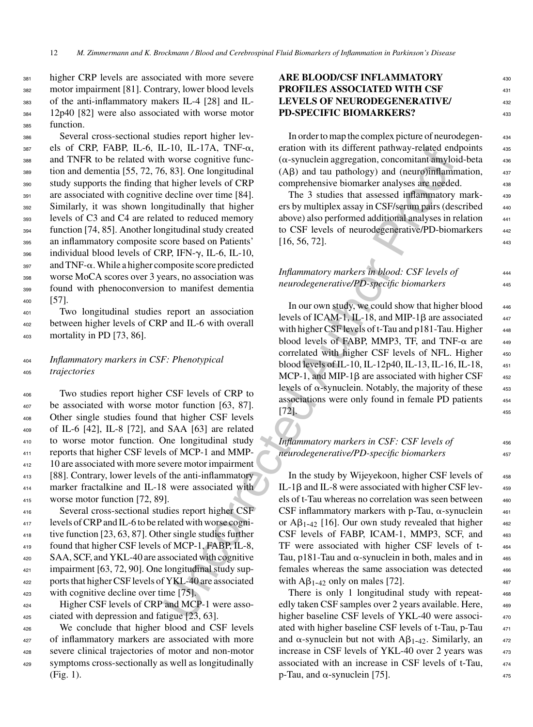higher CRP levels are associated with more severe motor impairment [81]. Contrary, lower blood levels of the anti-inflammatory makers IL-4 [28] and IL- 12p40 [82] were also associated with worse motor function.

 Several cross-sectional studies report higher lev- els of CRP, FABP, IL-6, IL-10, IL-17A, TNF- $\alpha$ , and TNFR to be related with worse cognitive func- tion and dementia [55, 72, 76, 83]. One longitudinal study supports the finding that higher levels of CRP are associated with cognitive decline over time [84]. Similarly, it was shown longitudinally that higher levels of C3 and C4 are related to reduced memory function [74, 85]. Another longitudinal study created an inflammatory composite score based on Patients' 396 individual blood levels of CRP, IFN-γ, IL-6, IL-10, and TNF- $\alpha$ . While a higher composite score predicted worse MoCA scores over 3 years, no association was found with phenoconversion to manifest dementia <sup>400</sup> [57].

<sup>401</sup> Two longitudinal studies report an association <sup>402</sup> between higher levels of CRP and IL-6 with overall <sup>403</sup> mortality in PD [73, 86].

### <sup>404</sup> *Inflammatory markers in CSF: Phenotypical* <sup>405</sup> *trajectories*

 Two studies report higher CSF levels of CRP to 407 be associated with worse motor function [63, 87]. Other single studies found that higher CSF levels of IL-6 [42], IL-8 [72], and SAA [63] are related to worse motor function. One longitudinal study reports that higher CSF levels of MCP-1 and MMP-412 10 are associated with more severe motor impairment [88]. Contrary, lower levels of the anti-inflammatory marker fractalkine and IL-18 were associated with worse motor function [72, 89].

 Several cross-sectional studies report higher CSF levels of CRP and IL-6 to be related with worse cogni- tive function [23, 63, 87]. Other single studies further found that higher CSF levels of MCP-1, FABP, IL-8, 420 SAA, SCF, and YKL-40 are associated with cognitive impairment [63, 72, 90]. One longitudinal study sup- ports that higher CSF levels of YKL-40 are associated with cognitive decline over time [75].

<sup>424</sup> Higher CSF levels of CRP and MCP-1 were asso-<sup>425</sup> ciated with depression and fatigue [23, 63].

426 We conclude that higher blood and CSF levels <sup>427</sup> of inflammatory markers are associated with more <sup>428</sup> severe clinical trajectories of motor and non-motor <sup>429</sup> symptoms cross-sectionally as well as longitudinally (Fig. 1).

### **ARE BLOOD/CSF INFLAMMATORY** <sup>430</sup> **PROFILES ASSOCIATED WITH CSF LEVELS OF NEURODEGENERATIVE/** <sup>432</sup> **PD-SPECIFIC BIOMARKERS?** 433

In order to map the complex picture of neurodegen- <sup>434</sup> eration with its different pathway-related endpoints 435  $(\alpha$ -synuclein aggregation, concomitant amyloid-beta  $436$  $(A\beta)$  and tau pathology) and (neuro)inflammation,  $437$ comprehensive biomarker analyses are needed. 438

The 3 studies that assessed inflammatory mark-<br>439 ers by multiplex assay in CSF/serum pairs (described 440 above) also performed additional analyses in relation <sup>441</sup> to CSF levels of neurodegenerative/PD-biomarkers 442  $[16, 56, 72]$ .

*Inflammatory markers in blood: CSF levels of* <sup>444</sup> *neurodegenerative/PD-specific biomarkers* <sup>445</sup>

L-10, IL-17A, TNH-ca, eration with its different pathway related ento that states are also that the state of CRP comprehensive biomater and (Apple and (nearly alternation) and (nearly alternation of the authorization of t In our own study, we could show that higher blood  $_{446}$ levels of ICAM-1, IL-18, and MIP-1 $\beta$  are associated  $447$ with higher CSF levels of t-Tau and  $p181$ -Tau. Higher  $448$ blood levels of FABP, MMP3, TF, and TNF- $\alpha$  are  $449$ correlated with higher CSF levels of NFL. Higher 450 blood levels of IL-10, IL-12p40, IL-13, IL-16, IL-18, <sup>451</sup> MCP-1, and MIP-1 $\beta$  are associated with higher CSF  $452$ levels of  $\alpha$ -synuclein. Notably, the majority of these  $453$ associations were only found in female PD patients <sup>454</sup>  $[72]$ .  $455$ 

### *Inflammatory markers in CSF: CSF levels of*  $456$ *neurodegenerative/PD-specific biomarkers* <sup>457</sup>

In the study by Wijeyekoon, higher CSF levels of  $458$ IL-1 $\beta$  and IL-8 were associated with higher CSF lev-  $459$ els of t-Tau whereas no correlation was seen between  $460$ CSF inflammatory markers with p-Tau,  $\alpha$ -synuclein  $461$ or  $\mathbf{A}\mathbf{\beta}_{1-42}$  [16]. Our own study revealed that higher  $\qquad 462$ CSF levels of FABP, ICAM-1, MMP3, SCF, and 463 TF were associated with higher CSF levels of t- <sup>464</sup> Tau, p181-Tau and  $\alpha$ -synuclein in both, males and in  $465$ females whereas the same association was detected  $466$ with  $\mathbf{AB}_{1-42}$  only on males [72].

There is only 1 longitudinal study with repeat-<br>468 edly taken CSF samples over 2 years available. Here, higher baseline CSF levels of YKL-40 were associated with higher baseline CSF levels of t-Tau, p-Tau and  $\alpha$ -synuclein but not with A $\beta_{1-42}$ . Similarly, an increase in CSF levels of YKL-40 over 2 years was associated with an increase in CSF levels of t-Tau, <sup>474</sup>  $p$ -Tau, and  $\alpha$ -synuclein [75].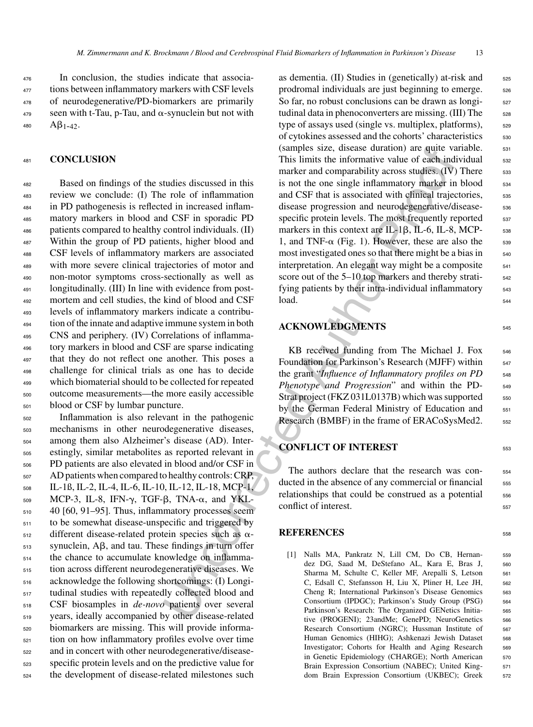In conclusion, the studies indicate that associa- tions between inflammatory markers with CSF levels of neurodegenerative/PD-biomarkers are primarily seen with t-Tau, p-Tau, and  $\alpha$ -synuclein but not with  $AB_{1-42}$ .

#### <sup>481</sup> **CONCLUSION**

 Based on findings of the studies discussed in this review we conclude: (I) The role of inflammation in PD pathogenesis is reflected in increased inflam- matory markers in blood and CSF in sporadic PD patients compared to healthy control individuals. (II) Within the group of PD patients, higher blood and CSF levels of inflammatory markers are associated with more severe clinical trajectories of motor and non-motor symptoms cross-sectionally as well as longitudinally. (III) In line with evidence from post- mortem and cell studies, the kind of blood and CSF levels of inflammatory markers indicate a contribu- tion of the innate and adaptive immune system in both CNS and periphery. (IV) Correlations of inflamma- tory markers in blood and CSF are sparse indicating that they do not reflect one another. This poses a challenge for clinical trials as one has to decide which biomaterial should to be collected for repeated outcome measurements—the more easily accessible blood or CSF by lumbar puncture.

 Inflammation is also relevant in the pathogenic mechanisms in other neurodegenerative diseases, among them also Alzheimer's disease (AD). Inter- estingly, similar metabolites as reported relevant in PD patients are also elevated in blood and/or CSF in AD patients when compared to healthy controls: CRP, IL-1ß, IL-2, IL-4, IL-6, IL-10, IL-12, IL-18, MCP-1, 509 MCP-3, IL-8, IFN-γ, TGF-β, TNA-α, and YKL- 40 [60, 91–95]. Thus, inflammatory processes seem to be somewhat disease-unspecific and triggered by different disease-related protein species such as  $\alpha$ - synuclein, A $\beta$ , and tau. These findings in turn offer the chance to accumulate knowledge on inflamma- tion across different neurodegenerative diseases. We acknowledge the following shortcomings: (I) Longi- tudinal studies with repeatedly collected blood and CSF biosamples in *de-novo* patients over several years, ideally accompanied by other disease-related biomarkers are missing. This will provide informa- tion on how inflammatory profiles evolve over time and in concert with other neurodegenerative/disease- specific protein levels and on the predictive value for the development of disease-related milestones such

(samples size, dissease durino re qui evi-<br>
This limits the informative value of each independent of the more and population in the same and CSF that is associated with effined trajection<br>
and CSF that is associated with as dementia.  $(II)$  Studies in (genetically) at-risk and  $525$ prodromal individuals are just beginning to emerge.  $\frac{526}{20}$ So far, no robust conclusions can be drawn as longitudinal data in phenoconverters are missing. (III) The 528 type of assays used (single vs. multiplex, platforms),  $\frac{529}{20}$ of cytokines assessed and the cohorts' characteristics  $530$ (samples size, disease duration) are quite variable. 531 This limits the informative value of each individual <sub>532</sub> marker and comparability across studies.  $(IV)$  There  $\qquad$  533 is not the one single inflammatory marker in blood  $\frac{1}{534}$ and CSF that is associated with clinical trajectories,  $\frac{535}{2}$ disease progression and neurodegenerative/disease-<br>
sa specific protein levels. The most frequently reported  $\frac{537}{2}$ markers in this context are IL-1 $\beta$ , IL-6, IL-8, MCP- 538 1, and TNF- $\alpha$  (Fig. 1). However, these are also the 539 most investigated ones so that there might be a bias in  $_{540}$ interpretation. An elegant way might be a composite  $\frac{541}{2}$ score out of the 5–10 top markers and thereby strati-<br><sub>542</sub> fying patients by their intra-individual inflammatory  $\frac{543}{2}$  $\int$ load.  $544$ 

#### **ACKNOWLEDGMENTS** <sup>545</sup>

 $KB$  received funding from The Michael J. Fox  $_{546}$ Foundation for Parkinson's Research (MJFF) within 547 the grant "*Influence of Inflammatory profiles on PD* 548 *Phenotype and Progression*" and within the PD-  $\frac{549}{2}$ Strat project (FKZ 031L0137B) which was supported  $550$ by the German Federal Ministry of Education and 551 Research (BMBF) in the frame of ERACoSysMed2. 552

### **CONFLICT OF INTEREST** 553

The authors declare that the research was conducted in the absence of any commercial or financial 555 relationships that could be construed as a potential 556 conflict of interest.

#### **REFERENCES** 558

[1] Nalls MA, Pankratz N, Lill CM, Do CB, Hernan- 559 dez DG, Saad M, DeStefano AL, Kara E, Bras J, 560 Sharma M, Schulte C, Keller MF, Arepalli S, Letson 561 C, Edsall C, Stefansson H, Liu X, Pliner H, Lee JH, 562 Cheng R; International Parkinson's Disease Genomics 563 Consortium (IPDGC); Parkinson's Study Group (PSG) <sup>564</sup> Parkinson's Research: The Organized GENetics Initia- 565 tive (PROGENI); 23andMe; GenePD; NeuroGenetics 566 Research Consortium (NGRC); Hussman Institute of 567 Human Genomics (HIHG); Ashkenazi Jewish Dataset 568 Investigator; Cohorts for Health and Aging Research 569 in Genetic Epidemiology (CHARGE); North American 570 Brain Expression Consortium (NABEC); United King- 571 dom Brain Expression Consortium (UKBEC); Greek 572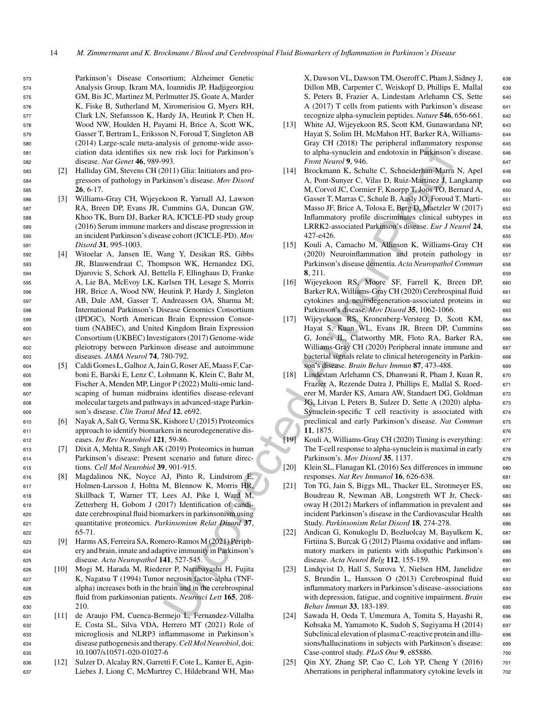Parkinson's Disease Consortium; Alzheimer Genetic Analysis Group, Ikram MA, Ioannidis JP, Hadjigeorgiou GM, Bis JC, Martinez M, Perlmutter JS, Goate A, Marder K, Fiske B, Sutherland M, Xiromerisiou G, Myers RH, Clark LN, Stefansson K, Hardy JA, Heutink P, Chen H, Wood NW, Houlden H, Payami H, Brice A, Scott WK, Gasser T, Bertram L, Eriksson N, Foroud T, Singleton AB (2014) Large-scale meta-analysis of genome-wide asso- ciation data identifies six new risk loci for Parkinson's disease. *Nat Genet* **46**, 989-993.

- <sup>583</sup> [2] Halliday GM, Stevens CH (2011) Glia: Initiators and pro-<sup>584</sup> gressors of pathology in Parkinson's disease. *Mov Disord* <sup>585</sup> **26**, 6-17.
- <sup>586</sup> [3] Williams-Gray CH, Wijeyekoon R, Yarnall AJ, Lawson <sup>587</sup> RA, Breen DP, Evans JR, Cummins GA, Duncan GW, <sup>588</sup> Khoo TK, Burn DJ, Barker RA, ICICLE-PD study group <sup>589</sup> (2016) Serum immune markers and disease progression in <sup>590</sup> an incident Parkinson's disease cohort (ICICLE-PD). *Mov* <sup>591</sup> *Disord* **31**, 995-1003.
- <sup>592</sup> [4] Witoelar A, Jansen IE, Wang Y, Desikan RS, Gibbs <sup>593</sup> JR, Blauwendraat C, Thompson WK, Hernandez DG, <sup>594</sup> Djurovic S, Schork AJ, Bettella F, Ellinghaus D, Franke <sup>595</sup> A, Lie BA, McEvoy LK, Karlsen TH, Lesage S, Morris <sup>596</sup> HR, Brice A, Wood NW, Heutink P, Hardy J, Singleton <sup>597</sup> AB, Dale AM, Gasser T, Andreassen OA, Sharma M; <sup>598</sup> International Parkinson's Disease Genomics Consortium <sup>599</sup> (IPDGC), North American Brain Expression Consor-<sup>600</sup> tium (NABEC), and United Kingdom Brain Expression <sup>601</sup> Consortium (UKBEC) Investigators (2017) Genome-wide <sup>602</sup> pleiotropy between Parkinson disease and autoimmune <sup>603</sup> diseases. *JAMA Neurol* **74**, 780-792.
- <sup>604</sup> [5] Caldi Gomes L, Galhoz A, Jain G, Roser AE, Maass F, Car-<sup>605</sup> boni E, Barski E, Lenz C, Lohmann K, Klein C, Bahr M, <sup>606</sup> Fischer A, Menden MP, Lingor P (2022) Multi-omic land-<sup>607</sup> scaping of human midbrains identifies disease-relevant <sup>608</sup> molecular targets and pathways in advanced-stage Parkin-<sup>609</sup> son's disease. *Clin Transl Med* **12**, e692.
- <sup>610</sup> [6] Nayak A, Salt G, Verma SK, Kishore U (2015) Proteomics <sup>611</sup> approach to identify biomarkers in neurodegenerative dis-<sup>612</sup> eases. *Int Rev Neurobiol* **121**, 59-86.
- <sup>613</sup> [7] Dixit A, Mehta R, Singh AK (2019) Proteomics in human <sup>614</sup> Parkinson's disease: Present scenario and future direc-<sup>615</sup> tions. *Cell Mol Neurobiol* **39**, 901-915.
- <sup>616</sup> [8] Magdalinou NK, Noyce AJ, Pinto R, Lindstrom E, <sup>617</sup> Holmen-Larsson J, Holtta M, Blennow K, Morris HR, <sup>618</sup> Skillback T, Warner TT, Lees AJ, Pike I, Ward M, <sup>619</sup> Zetterberg H, Gobom J (2017) Identification of candi-<sup>620</sup> date cerebrospinal fluid biomarkers in parkinsonism using <sup>621</sup> quantitative proteomics. *Parkinsonism Relat Disord* **37**, <sup>622</sup> 65-71.
- <sup>623</sup> [9] Harms AS, Ferreira SA, Romero-Ramos M (2021) Periph-<sup>624</sup> ery and brain, innate and adaptive immunity in Parkinson's <sup>625</sup> disease. *Acta Neuropathol* **141**, 527-545.
- <sup>626</sup> [10] Mogi M, Harada M, Riederer P, Narabayashi H, Fujita <sup>627</sup> K, Nagatsu T (1994) Tumor necrosis factor-alpha (TNF-<sup>628</sup> alpha) increases both in the brain and in the cerebrospinal <sup>629</sup> fluid from parkinsonian patients. *Neurosci Lett* **165**, 208- <sup>630</sup> 210.
- <sup>631</sup> [11] de Araujo FM, Cuenca-Bermejo L, Fernandez-Villalba <sup>632</sup> E, Costa SL, Silva VDA, Herrero MT (2021) Role of <sup>633</sup> microgliosis and NLRP3 inflammasome in Parkinson's <sup>634</sup> disease pathogenesis and therapy.*Cell Mol Neurobiol*, doi: <sup>635</sup> 10.1007/s10571-020-01027-6
- <sup>636</sup> [12] Sulzer D, Alcalay RN, Garretti F, Cote L, Kanter E, Agin-<sup>637</sup> Liebes J, Liong C, McMurtrey C, Hildebrand WH, Mao

X, Dawson VL, Dawson TM, Oseroff C, Pham J, Sidney J, 638 Dillon MB, Carpenter C, Weiskopf D, Phillips E, Mallal 639 S, Peters B, Frazier A, Lindestam Arlehamn CS, Sette 640 A (2017) T cells from patients with Parkinson's disease 641 recognize alpha-synuclein peptides. *Nature* **546**, 656-661. <sup>642</sup>

- [13] White AJ, Wijeyekoon RS, Scott KM, Gunawardana NP, 643 Hayat S, Solim IH, McMahon HT, Barker RA, Williams- <sup>644</sup> Gray CH (2018) The peripheral inflammatory response 645 to alpha-synuclein and endotoxin in Parkinson's disease. 646 *Front Neurol* **9, 946.** 647
- eve risk loci for Parkinson's<br>
welve risk loci applasymetelis and endotoxin in Parkinson's<br>
welve risk loci applasymetric and proof the measurement K, Schnickey Richard Marshall and<br>
Marshall and Author School II Bookmann [14] Brockmann K, Schulte C, Schneiderhan-Marra N, Apel 648 A, Pont-Sunyer C, Vilas D, Ruiz-Martinez J, Langkamp 649 M, Corvol JC, Cormier F, Knorpp T, Joos TO, Bernard A, 650 Gasser T, Marras C, Schule B, Aasly JO, Foroud T, Marti- <sup>651</sup> Masso JF, Brice A, Tolosa E, Berg D, Maetzler W (2017) 652 Inflammatory profile discriminates clinical subtypes in 653 LRRK2-associated Parkinson's disease. *Eur J Neurol* **24**, <sup>654</sup> 427-e426. <sup>655</sup>
	- [15] Kouli A, Camacho M, Allinson K, Williams-Gray CH 656 (2020) Neuroinflammation and protein pathology in 657 Parkinson's disease dementia. *Acta Neuropathol Commun* 658 **8**, 211. 659
	- [16] Wijeyekoon RS, Moore SF, Farrell K, Breen DP, <sup>660</sup> Barker RA, Williams-Gray CH (2020) Cerebrospinal fluid 661 cytokines and neurodegeneration-associated proteins in 662 Parkinson's disease. *Mov Disord* **35**, 1062-1066. <sup>663</sup>
	- [17] Wijeyekoon RS, Kronenberg-Versteeg D, Scott KM, <sup>664</sup> Hayat S, Kuan WL, Evans JR, Breen DP, Cummins 665 G, Jones JL, Clatworthy MR, Floto RA, Barker RA, 666 Williams-Gray CH (2020) Peripheral innate immune and 667 bacterial signals relate to clinical heterogeneity in Parkin- 668 son's disease. *Brain Behav Immun* **87**, 473-488. <sup>669</sup>
	- [18] Lindestam Arlehamn CS, Dhanwani R, Pham J, Kuan R, 670 Frazier A, Rezende Dutra J, Phillips E, Mallal S, Roed- <sup>671</sup> erer M, Marder KS, Amara AW, Standaert DG, Goldman 672 JG, Litvan I, Peters B, Sulzer D, Sette A (2020) alpha- <sup>673</sup> Synuclein-specific T cell reactivity is associated with 674 preclinical and early Parkinson's disease. *Nat Commun* 675 **11**, 1875. <sup>676</sup>
	- [19] Kouli A, Williams-Gray CH (2020) Timing is everything: <sup>677</sup> The T-cell response to alpha-synuclein is maximal in early 678 Parkinson's. *Mov Disord* **35**, 1137. <sup>679</sup>
	- [20] Klein SL, Flanagan KL (2016) Sex differences in immune 680 responses. *Nat Rev Immunol* **16**, 626-638. <sup>681</sup>
	- [21] Ton TG, Jain S, Biggs ML, Thacker EL, Strotmeyer ES, 682 Boudreau R, Newman AB, Longstreth WT Jr, Check- <sup>683</sup> oway H (2012) Markers of inflammation in prevalent and <sup>684</sup> incident Parkinson's disease in the Cardiovascular Health 685 Study. *Parkinsonism Relat Disord* 18, 274-278. 686
	- [22] Andican G, Konukoglu D, Bozluolcay M, Bayulkem K, 687 Firtiina S, Burcak G (2012) Plasma oxidative and inflam- 688 matory markers in patients with idiopathic Parkinson's 689 disease. *Acta Neurol Belg* **112**, 155-159. 690
	- [23] Lindqvist D, Hall S, Surova Y, Nielsen HM, Janelidze 691 S, Brundin L, Hansson O (2013) Cerebrospinal fluid 692 inflammatory markers in Parkinson's disease–associations 693 with depression, fatigue, and cognitive impairment. *Brain* 694 *Behav Immun* **33**, 183-189. <sup>695</sup>
	- [24] Sawada H, Oeda T, Umemura A, Tomita S, Hayashi R, <sup>696</sup> Kohsaka M, Yamamoto K, Sudoh S, Sugiyama H (2014) 697 Subclinical elevation of plasma C-reactive protein and illu- 698 sions/hallucinations in subjects with Parkinson's disease: 699 Case-control study. *PLoS One* **9**, e85886. 700
	- [25] Qin XY, Zhang SP, Cao C, Loh YP, Cheng Y (2016) 701 Aberrations in peripheral inflammatory cytokine levels in  $\frac{702}{202}$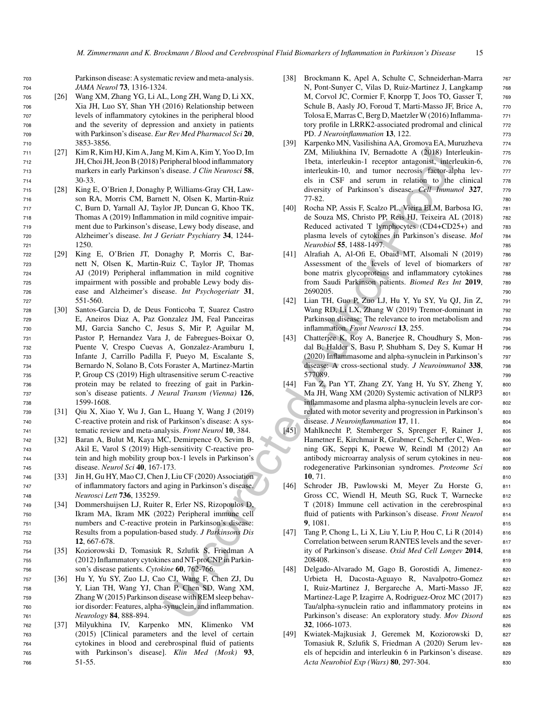<sup>703</sup> Parkinson disease: A systematic review and meta-analysis. <sup>704</sup> *JAMA Neurol* **73**, 1316-1324.

- <sup>705</sup> [26] Wang XM, Zhang YG, Li AL, Long ZH, Wang D, Li XX, <sup>706</sup> Xia JH, Luo SY, Shan YH (2016) Relationship between <sup>707</sup> levels of inflammatory cytokines in the peripheral blood <sup>708</sup> and the severity of depression and anxiety in patients <sup>709</sup> with Parkinson's disease. *Eur Rev Med Pharmacol Sci* **20**, <sup>710</sup> 3853-3856.
- <sup>711</sup> [27] Kim R, Kim HJ, Kim A, Jang M, Kim A, Kim Y, Yoo D, Im <sup>712</sup> JH, Choi JH, Jeon B (2018) Peripheral blood inflammatory <sup>713</sup> markers in early Parkinson's disease. *J Clin Neurosci* **58**, <sup>714</sup> 30-33.
- <sup>715</sup> [28] King E, O'Brien J, Donaghy P, Williams-Gray CH, Law-<sup>716</sup> son RA, Morris CM, Barnett N, Olsen K, Martin-Ruiz <sup>717</sup> C, Burn D, Yarnall AJ, Taylor JP, Duncan G, Khoo TK, <sup>718</sup> Thomas A (2019) Inflammation in mild cognitive impair-<sup>719</sup> ment due to Parkinson's disease, Lewy body disease, and <sup>720</sup> Alzheimer's disease. *Int J Geriatr Psychiatry* **34**, 1244- <sup>721</sup> 1250.
- <sup>722</sup> [29] King E, O'Brien JT, Donaghy P, Morris C, Bar-<sup>723</sup> nett N, Olsen K, Martin-Ruiz C, Taylor JP, Thomas <sup>724</sup> AJ (2019) Peripheral inflammation in mild cognitive <sup>725</sup> impairment with possible and probable Lewy body dis-<sup>726</sup> ease and Alzheimer's disease. *Int Psychogeriatr* **31**, <sup>727</sup> 551-560.
- <sup>728</sup> [30] Santos-Garcia D, de Deus Fonticoba T, Suarez Castro <sup>729</sup> E, Aneiros Diaz A, Paz Gonzalez JM, Feal Panceiras <sup>730</sup> MJ, Garcia Sancho C, Jesus S, Mir P, Aguilar M, <sup>731</sup> Pastor P, Hernandez Vara J, de Fabregues-Boixar O, <sup>732</sup> Puente V, Crespo Cuevas A, Gonzalez-Aramburu I, <sup>733</sup> Infante J, Carrillo Padilla F, Pueyo M, Escalante S, <sup>734</sup> Bernardo N, Solano B, Cots Foraster A, Martinez-Martin <sup>735</sup> P, Group CS (2019) High ultrasensitive serum C-reactive <sup>736</sup> protein may be related to freezing of gait in Parkin-<sup>737</sup> son's disease patients. *J Neural Transm (Vienna)* **126**, <sup>738</sup> 1599-1608.
- <sup>739</sup> [31] Qiu X, Xiao Y, Wu J, Gan L, Huang Y, Wang J (2019) <sup>740</sup> C-reactive protein and risk of Parkinson's disease: A sys-<sup>741</sup> tematic review and meta-analysis. *Front Neurol* **10**, 384.
- <sup>742</sup> [32] Baran A, Bulut M, Kaya MC, Demirpence O, Sevim B, <sup>743</sup> Akil E, Varol S (2019) High-sensitivity C-reactive pro-<sup>744</sup> tein and high mobility group box-1 levels in Parkinson's <sup>745</sup> disease. *Neurol Sci* **40**, 167-173.
- <sup>746</sup> [33] Jin H, Gu HY, Mao CJ, Chen J, Liu CF (2020) Association <sup>747</sup> of inflammatory factors and aging in Parkinson's disease. <sup>748</sup> *Neurosci Lett* **736**, 135259.
- <sup>749</sup> [34] Dommershuijsen LJ, Ruiter R, Erler NS, Rizopoulos D, <sup>750</sup> Ikram MA, Ikram MK (2022) Peripheral immune cell <sup>751</sup> numbers and C-reactive protein in Parkinson's disease: <sup>752</sup> Results from a population-based study. *J Parkinsons Dis* <sup>753</sup> **12**, 667-678.
- <sup>754</sup> [35] Koziorowski D, Tomasiuk R, Szlufik S, Friedman A <sup>755</sup> (2012) Inflammatory cytokines and NT-proCNP in Parkin-<sup>756</sup> son's disease patients. *Cytokine* **60**, 762-766.
- <sup>757</sup> [36] Hu Y, Yu SY, Zuo LJ, Cao CJ, Wang F, Chen ZJ, Du <sup>758</sup> Y, Lian TH, Wang YJ, Chan P, Chen SD, Wang XM, <sup>759</sup> Zhang W (2015) Parkinson disease with REM sleep behav-<sup>760</sup> ior disorder: Features, alpha-synuclein, and inflammation. <sup>761</sup> *Neurology* **84**, 888-894.
- <sup>762</sup> [37] Milyukhina IV, Karpenko MN, Klimenko VM <sup>763</sup> (2015) [Clinical parameters and the level of certain <sup>764</sup> cytokines in blood and cerebrospinal fluid of patients <sup>765</sup> with Parkinson's disease]. *Klin Med (Mosk)* **93**, <sup>766</sup> 51-55.
- [38] Brockmann K, Apel A, Schulte C, Schneiderhan-Marra 767 N, Pont-Sunyer C, Vilas D, Ruiz-Martinez J, Langkamp 768 M, Corvol JC, Cormier F, Knorpp T, Joos TO, Gasser T, 769 Schule B, Aasly JO, Foroud T, Marti-Masso JF, Brice A, 770 Tolosa E, Marras C, Berg D, Maetzler W (2016) Inflamma- <sup>771</sup> tory profile in LRRK2-associated prodromal and clinical 772 PD. *J Neuroinflammation* **13**, 122. <sup>773</sup>
- M. Kim A. Kim V, Yoo D. Im a Kim V, Yoo D. Im a Kim V, Yoo D. Im a materialistin of the states. The states of the states of the states of the states of the states of the states of the states of the states of the states of [39] Karpenko MN, Vasilishina AA, Gromova EA, Muruzheva <sup>774</sup> ZM, Miliukhina IV, Bernadotte A (2018) Interleukin- 775 1beta, interleukin-1 receptor antagonist, interleukin-6, 776 interleukin-10, and tumor necrosis factor-alpha lev- 777 els in CSF and serum in relation to the clinical 778 diversity of Parkinson's disease. *Cell Immunol* 327, 779 **77-82.** *780* 
	- [40] Rocha NP, Assis F, Scalzo PL, Vieira ELM, Barbosa IG, <sup>781</sup> de Souza MS, Christo PP, Reis HJ, Teixeira AL (2018) <sup>782</sup> Reduced activated T lymphocytes (CD4+CD25+) and 783 plasma levels of cytokines in Parkinson's disease. *Mol* <sup>784</sup> *Neurobiol* **55**, 1488-1497. <sup>785</sup>
	- [41] Alrafiah A, Al-Ofi E, Obaid MT, Alsomali N (2019) 786 Assessment of the levels of level of biomarkers of 787 bone matrix glycoproteins and inflammatory cytokines 788 from Saudi Parkinson patients. *Biomed Res Int* **2019**, <sup>789</sup> 2690205. 790
	- [42] Lian TH, Guo P, Zuo LJ, Hu Y, Yu SY, Yu QJ, Jin Z, 791 Wang RD, Li LX, Zhang W (2019) Tremor-dominant in 792 Parkinson disease: The relevance to iron metabolism and 793 inflammation. *Front Neurosci* **13**, 255. <sup>794</sup>
	- [43] Chatterjee K, Roy A, Banerjee R, Choudhury S, Mon- <sup>795</sup> dal B, Halder S, Basu P, Shubham S, Dey S, Kumar H 796 (2020) Inflammasome and alpha-synuclein in Parkinson's <sup>797</sup> disease: A cross-sectional study. *J Neuroimmunol* **338**, <sup>798</sup> 577089. 799
	- [44] Fan Z, Pan YT, Zhang ZY, Yang H, Yu SY, Zheng Y, 800 Ma JH, Wang XM (2020) Systemic activation of NLRP3 801 inflammasome and plasma alpha-synuclein levels are cor-<br>802 related with motor severity and progression in Parkinson's 803 disease. *J Neuroinflammation* 17, 11. 804
	- [45] Mahlknecht P, Stemberger S, Sprenger F, Rainer J, 805 Hametner E, Kirchmair R, Grabmer C, Scherfler C, Wenning GK, Seppi K, Poewe W, Reindl M (2012) An 807 antibody microarray analysis of serum cytokines in neu-<br>sos rodegenerative Parkinsonian syndromes. *Proteome Sci* 809 **10**, 71. 810
	- [46] Schroder JB, Pawlowski M, Meyer Zu Horste G, <sup>811</sup> Gross CC, Wiendl H, Meuth SG, Ruck T, Warnecke 812 T (2018) Immune cell activation in the cerebrospinal <sup>813</sup> fluid of patients with Parkinson's disease. *Front Neurol* 814 **9**, 1081. 815
	- [47] Tang P, Chong L, Li X, Liu Y, Liu P, Hou C, Li R (2014) 816 Correlation between serum RANTES levels and the sever-<br>817 ity of Parkinson's disease. Oxid Med Cell Longev 2014, 818 208408. 819
	- [48] Delgado-Alvarado M, Gago B, Gorostidi A, Jimenez- <sup>820</sup> Urbieta H, Dacosta-Aguayo R, Navalpotro-Gomez 821 I, Ruiz-Martinez J, Bergareche A, Marti-Masso JF, 822 Martinez-Lage P, Izagirre A, Rodriguez-Oroz MC (2017) <sup>823</sup> Tau/alpha-synuclein ratio and inflammatory proteins in 824 Parkinson's disease: An exploratory study. *Mov Disord* 825 **32**, 1066-1073. <sup>826</sup>
	- [49] Kwiatek-Majkusiak J, Geremek M, Koziorowski D, <sup>827</sup> Tomasiuk R, Szlufik S, Friedman A (2020) Serum lev-<br>828 els of hepcidin and interleukin 6 in Parkinson's disease. 829 *Acta Neurobiol Exp (Wars)* **80**, 297-304. 830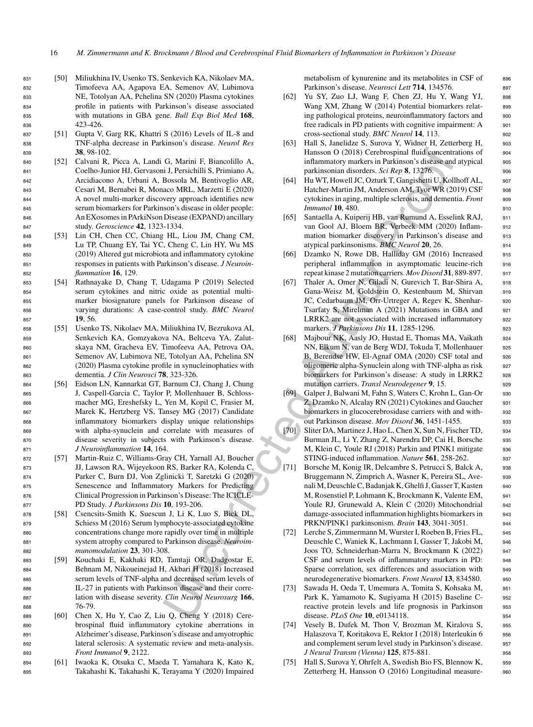- <sup>831</sup> [50] Miliukhina IV, Usenko TS, Senkevich KA, Nikolaev MA, <sup>832</sup> Timofeeva AA, Agapova EA, Semenov AV, Lubimova <sup>833</sup> NE, Totolyan AA, Pchelina SN (2020) Plasma cytokines <sup>834</sup> profile in patients with Parkinson's disease associated <sup>835</sup> with mutations in GBA gene. *Bull Exp Biol Med* **168**, 836 423-426
- <sup>837</sup> [51] Gupta V, Garg RK, Khattri S (2016) Levels of IL-8 and <sup>838</sup> TNF-alpha decrease in Parkinson's disease. *Neurol Res* <sup>839</sup> **38**, 98-102.
- <sup>840</sup> [52] Calvani R, Picca A, Landi G, Marini F, Biancolillo A, <sup>841</sup> Coelho-Junior HJ, Gervasoni J, Persichilli S, Primiano A, <sup>842</sup> Arcidiacono A, Urbani A, Bossola M, Bentivoglio AR, <sup>843</sup> Cesari M, Bernabei R, Monaco MRL, Marzetti E (2020) <sup>844</sup> A novel multi-marker discovery approach identifies new <sup>845</sup> serum biomarkers for Parkinson's disease in older people: <sup>846</sup> An EXosomes in PArkiNson Disease (EXPAND) ancillary <sup>847</sup> study. *Geroscience* **42**, 1323-1334.
- <sup>848</sup> [53] Lin CH, Chen CC, Chiang HL, Liou JM, Chang CM, <sup>849</sup> Lu TP, Chuang EY, Tai YC, Cheng C, Lin HY, Wu MS <sup>850</sup> (2019) Altered gut microbiota and inflammatory cytokine <sup>851</sup> responses in patients with Parkinson's disease. *J Neuroin-*<sup>852</sup> *flammation* **16**, 129.
- <sup>853</sup> [54] Rathnayake D, Chang T, Udagama P (2019) Selected <sup>854</sup> serum cytokines and nitric oxide as potential multi-<sup>855</sup> marker biosignature panels for Parkinson disease of <sup>856</sup> varying durations: A case-control study. *BMC Neurol* <sup>857</sup> **19**, 56.
- <sup>858</sup> [55] Usenko TS, Nikolaev MA, Miliukhina IV, Bezrukova AI, <sup>859</sup> Senkevich KA, Gomzyakova NA, Beltceva YA, Zalut-<sup>860</sup> skaya NM, Gracheva EV, Timofeeva AA, Petrova OA, <sup>861</sup> Semenov AV, Lubimova NE, Totolyan AA, Pchelina SN <sup>862</sup> (2020) Plasma cytokine profile in synucleinophaties with <sup>863</sup> dementia. *J Clin Neurosci* **78**, 323-326.
- <sup>864</sup> [56] Eidson LN, Kannarkat GT, Barnum CJ, Chang J, Chung <sup>865</sup> J, Caspell-Garcia C, Taylor P, Mollenhauer B, Schloss-<sup>866</sup> macher MG, Ereshefsky L, Yen M, Kopil C, Frasier M, <sup>867</sup> Marek K, Hertzberg VS, Tansey MG (2017) Candidate <sup>868</sup> inflammatory biomarkers display unique relationships <sup>869</sup> with alpha-synuclein and correlate with measures of <sup>870</sup> disease severity in subjects with Parkinson's disease. <sup>871</sup> *J Neuroinflammation* **14**, 164.
- <sup>872</sup> [57] Martin-Ruiz C, Williams-Gray CH, Yarnall AJ, Boucher <sup>873</sup> JJ, Lawson RA, Wijeyekoon RS, Barker RA, Kolenda C, <sup>874</sup> Parker C, Burn DJ, Von Zglinicki T, Saretzki G (2020) <sup>875</sup> Senescence and Inflammatory Markers for Predicting <sup>876</sup> Clinical Progression in Parkinson's Disease: The ICICLE-<sup>877</sup> PD Study. *J Parkinsons Dis* **10**, 193-206.
- <sup>878</sup> [58] Csencsits-Smith K, Suescun J, Li K, Luo S, Bick DL, <sup>879</sup> Schiess M (2016) Serum lymphocyte-associated cytokine <sup>880</sup> concentrations change more rapidly over time in multiple <sup>881</sup> system atrophy compared to Parkinson disease. *Neuroim-*<sup>882</sup> *munomodulation* **23**, 301-308.
- <sup>883</sup> [59] Kouchaki E, Kakhaki RD, Tamtaji OR, Dadgostar E, <sup>884</sup> Behnam M, Nikoueinejad H, Akbari H (2018) Increased <sup>885</sup> serum levels of TNF-alpha and decreased serum levels of <sup>886</sup> IL-27 in patients with Parkinson disease and their corre-<sup>887</sup> lation with disease severity. *Clin Neurol Neurosurg* **166**, <sup>888</sup> 76-79.
- <sup>889</sup> [60] Chen X, Hu Y, Cao Z, Liu Q, Cheng Y (2018) Cere-<sup>890</sup> brospinal fluid inflammatory cytokine aberrations in <sup>891</sup> Alzheimer's disease, Parkinson's disease and amyotrophic <sup>892</sup> lateral sclerosis: A systematic review and meta-analysis. <sup>893</sup> *Front Immunol* **9**, 2122.
- <sup>894</sup> [61] Iwaoka K, Otsuka C, Maeda T, Yamahara K, Kato K, <sup>895</sup> Takahashi K, Takahashi K, Terayama Y (2020) Impaired

metabolism of kynurenine and its metabolites in CSF of 896 Parkinson's disease. *Neurosci Lett* **714**, 134576. 897

- [62] Yu SY, Zuo LJ, Wang F, Chen ZJ, Hu Y, Wang YJ, 898 Wang XM, Zhang W (2014) Potential biomarkers relat- 899 ing pathological proteins, neuroinflammatory factors and 900 free radicals in PD patients with cognitive impairment: A 901 cross-sectional study. *BMC Neurol* **14**, 113. <sup>902</sup>
- [63] Hall S, Janelidze S, Surova Y, Widner H, Zetterberg H, 903 Hansson O (2018) Cerebrospinal fluid concentrations of 904 inflammatory markers in Parkinson's disease and atypical 905 parkinsonian disorders. *Sci Rep* 8, 13276.
- [64] Hu WT, Howell JC, Ozturk T, Gangishetti U, Kollhoff AL, 907 Hatcher-Martin JM, Anderson AM, Tyor WR (2019) CSF 908 cytokines in aging, multiple sclerosis, and dementia. *Front* <sup>909</sup> *Immunol* **10, 480.** 910
- [65] Santaella A, Kuiperij HB, van Rumund A, Esselink RAJ, <sup>911</sup> van Gool AJ, Bloem BR, Verbeek MM (2020) Inflam- <sup>912</sup> mation biomarker discovery in Parkinson's disease and 913 atypical parkinsonisms. *BMC Neurol* **20**, 26. <sup>914</sup>
- [66] Dzamko N, Rowe DB, Halliday GM (2016) Increased 915 peripheral inflammation in asymptomatic leucine-rich 916 repeat kinase 2 mutation carriers. *Mov Disord* **31**, 889-897. <sup>917</sup>
- [67] Thaler A, Omer N, Giladi N, Gurevich T, Bar-Shira A, 918 Gana-Weisz M, Goldstein O, Kestenbaum M, Shirvan 919 JC, Cedarbaum JM, Orr-Urtreger A, Regev K, Shenhar- 920 Tsarfaty S, Mirelman A (2021) Mutations in GBA and 921 LRRK2 are not associated with increased inflammatory 922 markers. *J Parkinsons Dis* **11**, 1285-1296. <sup>923</sup>
- [68] Majbour NK, Aasly JO, Hustad E, Thomas MA, Vaikath 924 NN, Elkum N, van de Berg WDJ, Tokuda T, Mollenhauer 925 B, Berendse HW, El-Agnaf OMA (2020) CSF total and 926 oligomeric alpha-Synuclein along with TNF-alpha as risk 927 biomarkers for Parkinson's disease: A study in LRRK2 928 mutation carriers. *Transl Neurodegener* 9, 15. 929
- [69] Galper J, Balwani M, Fahn S, Waters C, Krohn L, Gan-Or <sup>930</sup> Z, Dzamko N, Alcalay RN (2021) Cytokines and Gaucher 931 biomarkers in glucocerebrosidase carriers with and with-<br>932 out Parkinson disease. *Mov Disord* **36**, 1451-1455. <sup>933</sup>
- [70] Sliter DA, Martinez J, Hao L, Chen X, Sun N, Fischer TD, 934 Burman JL, Li Y, Zhang Z, Narendra DP, Cai H, Borsche 935 M, Klein C, Youle RJ (2018) Parkin and PINK1 mitigate 936 STING-induced inflammation. *Nature* **561**, 258-262. <sup>937</sup>
- G, Marini F, Biancolillo A.<br>
1 Hansson O (2018) Cerebrosyinal Rud Concertes to a control. All periodinis, Francisco Concertes (Signa 1376)<br>
1 Descritte Rud (Signa 1376)<br>
Descritte Rud (Signa 1376)<br>
Descritte Rud (Signa 13 [71] Borsche M, Konig IR, Delcambre S, Petrucci S, Balck A, 938 Bruggemann N, Zimprich A, Wasner K, Pereira SL, Ave-<br>939 nali M, Deuschle C, Badanjak K, Ghelfi J, Gasser T, Kasten 940 M, Rosenstiel P, Lohmann K, Brockmann K, Valente EM, <sup>941</sup> Youle RJ, Grunewald A, Klein C (2020) Mitochondrial 942 damage-associated inflammation highlights biomarkers in <sup>943</sup> PRKN/PINK1 parkinsonism. *Brain* **143**, 3041-3051. <sup>944</sup>
	- [72] Lerche S, Zimmermann M, Wurster I, Roeben B, Fries FL, 945 Deuschle C, Waniek K, Lachmann I, Gasser T, Jakobi M, <sup>946</sup> Joos TO, Schneiderhan-Marra N, Brockmann K (2022) <sup>947</sup> CSF and serum levels of inflammatory markers in PD: <sup>948</sup> Sparse correlation, sex differences and association with 949 neurodegenerative biomarkers. *Front Neurol* **13**, 834580. <sup>950</sup>
	- Sawada H, Oeda T, Umemura A, Tomita S, Kohsaka M, 951 Park K, Yamamoto K, Sugiyama H (2015) Baseline C- 952 reactive protein levels and life prognosis in Parkinson 953 disease. *PLoS One* **10**, e0134118. <sup>954</sup>
	- [74] Vesely B, Dufek M, Thon V, Brozman M, Kiralova S, 955 Halaszova T, Koritakova E, Rektor I (2018) Interleukin 6 956 and complement serum level study in Parkinson's disease. 957 *J Neural Transm (Vienna)* **125**, 875-881. <sup>958</sup>
	- [75] Hall S, Surova Y, Ohrfelt A, Swedish Bio FS, Blennow K, 959 Zetterberg H, Hansson O (2016) Longitudinal measure-<br>960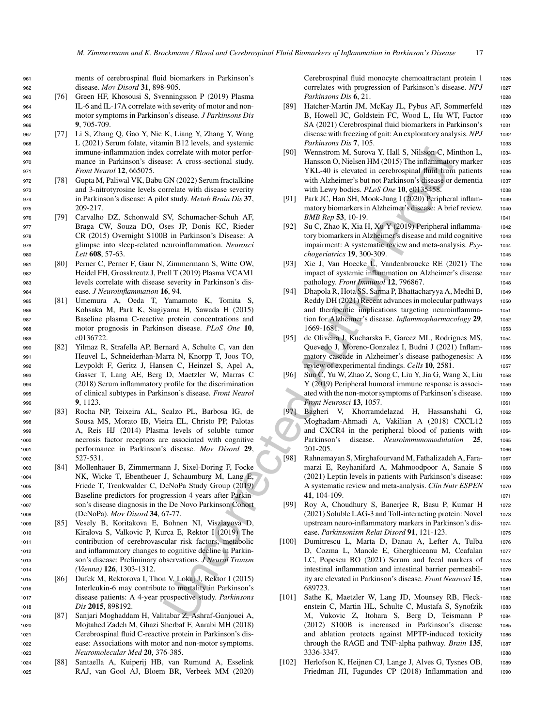<sup>961</sup> ments of cerebrospinal fluid biomarkers in Parkinson's <sup>962</sup> disease. *Mov Disord* **31**, 898-905.

- <sup>963</sup> [76] Green HF, Khosousi S, Svenningsson P (2019) Plasma <sup>964</sup> IL-6 and IL-17A correlate with severity of motor and non-<sup>965</sup> motor symptoms in Parkinson's disease. *J Parkinsons Dis* <sup>966</sup> **9**, 705-709.
- <sup>967</sup> [77] Li S, Zhang Q, Gao Y, Nie K, Liang Y, Zhang Y, Wang <sup>968</sup> L (2021) Serum folate, vitamin B12 levels, and systemic <sup>969</sup> immune-inflammation index correlate with motor perfor-<sup>970</sup> mance in Parkinson's disease: A cross-sectional study. <sup>971</sup> *Front Neurol* **12**, 665075.
- <sup>972</sup> [78] Gupta M, Paliwal VK, Babu GN (2022) Serum fractalkine <sup>973</sup> and 3-nitrotyrosine levels correlate with disease severity <sup>974</sup> in Parkinson's disease: A pilot study. *Metab Brain Dis* **37**, <sup>975</sup> 209-217.
- <sup>976</sup> [79] Carvalho DZ, Schonwald SV, Schumacher-Schuh AF, <sup>977</sup> Braga CW, Souza DO, Oses JP, Donis KC, Rieder <sup>978</sup> CR (2015) Overnight S100B in Parkinson's Disease: A <sup>979</sup> glimpse into sleep-related neuroinflammation. *Neurosci* <sup>980</sup> *Lett* **608**, 57-63.
- <sup>981</sup> [80] Perner C, Perner F, Gaur N, Zimmermann S, Witte OW, <sup>982</sup> Heidel FH, Grosskreutz J, Prell T (2019) Plasma VCAM1 <sup>983</sup> levels correlate with disease severity in Parkinson's dis-<sup>984</sup> ease. *J Neuroinflammation* **16**, 94.
- <sup>985</sup> [81] Umemura A, Oeda T, Yamamoto K, Tomita S, <sup>986</sup> Kohsaka M, Park K, Sugiyama H, Sawada H (2015) <sup>987</sup> Baseline plasma C-reactive protein concentrations and <sup>988</sup> motor prognosis in Parkinson disease. *PLoS One* **10**, <sup>989</sup> e0136722.
- <sup>990</sup> [82] Yilmaz R, Strafella AP, Bernard A, Schulte C, van den <sup>991</sup> Heuvel L, Schneiderhan-Marra N, Knorpp T, Joos TO, <sup>992</sup> Leypoldt F, Geritz J, Hansen C, Heinzel S, Apel A, <sup>993</sup> Gasser T, Lang AE, Berg D, Maetzler W, Marras C <sup>994</sup> (2018) Serum inflammatory profile for the discrimination <sup>995</sup> of clinical subtypes in Parkinson's disease. *Front Neurol* <sup>996</sup> **9**, 1123.
- <sup>997</sup> [83] Rocha NP, Teixeira AL, Scalzo PL, Barbosa IG, de <sup>998</sup> Sousa MS, Morato IB, Vieira EL, Christo PP, Palotas <sup>999</sup> A, Reis HJ (2014) Plasma levels of soluble tumor <sup>1000</sup> necrosis factor receptors are associated with cognitive <sup>1001</sup> performance in Parkinson's disease. *Mov Disord* **29**, <sup>1002</sup> 527-531.
- <sup>1003</sup> [84] Mollenhauer B, Zimmermann J, Sixel-Doring F, Focke <sup>1004</sup> NK, Wicke T, Ebentheuer J, Schaumburg M, Lang E, <sup>1005</sup> Friede T, Trenkwalder C, DeNoPa Study Group (2019) <sup>1006</sup> Baseline predictors for progression 4 years after Parkin-<sup>1007</sup> son's disease diagnosis in the De Novo Parkinson Cohort <sup>1008</sup> (DeNoPa). *Mov Disord* **34**, 67-77.
- <sup>1009</sup> [85] Vesely B, Koritakova E, Bohnen NI, Viszlayova D, <sup>1010</sup> Kiralova S, Valkovic P, Kurca E, Rektor I (2019) The <sup>1011</sup> contribution of cerebrovascular risk factors, metabolic <sup>1012</sup> and inflammatory changes to cognitive decline in Parkin-<sup>1013</sup> son's disease: Preliminary observations. *J Neural Transm* <sup>1014</sup> *(Vienna)* **126**, 1303-1312.
- <sup>1015</sup> [86] Dufek M, Rektorova I, Thon V, Lokaj J, Rektor I (2015) <sup>1016</sup> Interleukin-6 may contribute to mortality in Parkinson's <sup>1017</sup> disease patients: A 4-year prospective study. *Parkinsons* <sup>1018</sup> *Dis* **2015**, 898192.
- <sup>1019</sup> [87] Sanjari Moghaddam H, Valitabar Z, Ashraf-Ganjouei A, <sup>1020</sup> Mojtahed Zadeh M, Ghazi Sherbaf F, Aarabi MH (2018) <sup>1021</sup> Cerebrospinal fluid C-reactive protein in Parkinson's dis-<sup>1022</sup> ease: Associations with motor and non-motor symptoms. <sup>1023</sup> *Neuromolecular Med* **20**, 376-385.
- <sup>1024</sup> [88] Santaella A, Kuiperij HB, van Rumund A, Esselink <sup>1025</sup> RAJ, van Gool AJ, Bloem BR, Verbeek MM (2020)

Cerebrospinal fluid monocyte chemoattractant protein 1 1026 correlates with progression of Parkinson's disease. *NPJ* 1027 *Parkinsons Dis* **6**, 21. 1028

- [89] Hatcher-Martin JM, McKay JL, Pybus AF, Sommerfeld 1029 B, Howell JC, Goldstein FC, Wood L, Hu WT, Factor 1030 SA (2021) Cerebrospinal fluid biomarkers in Parkinson's 1031 disease with freezing of gait: An exploratory analysis.*NPJ* <sup>1032</sup> *Parkinsons Dis* **7**, 105. 1033
- [90] Wennstrom M, Surova Y, Hall S, Nilsson C, Minthon L, 1034 Hansson O, Nielsen HM (2015) The inflammatory marker 1035 YKL-40 is elevated in cerebrospinal fluid from patients 1036 with Alzheimer's but not Parkinson's disease or dementia 1037 with Lewy bodies. *PLoS One* **10**, e0135458. 1038
- [91] Park JC, Han SH, Mook-Jung I (2020) Peripheral inflam- 1039 matory biomarkers in Alzheimer's disease: A brief review. 1040 *BMB Rep* **53**, 10-19. <sup>1041</sup>
- [92] Su C, Zhao K, Xia H, Xu Y (2019) Peripheral inflamma- <sup>1042</sup> tory biomarkers in Alzheimer's disease and mild cognitive 1043 impairment: A systematic review and meta-analysis. *Psy-* <sup>1044</sup> *chogeriatrics* **19**, 300-309. <sup>1045</sup>
- [93] Xie J, Van Hoecke L, Vandenbroucke RE (2021) The <sup>1046</sup> impact of systemic inflammation on Alzheimer's disease 1047 pathology. *Front Immunol* **12**, 796867. <sup>1048</sup>
- [94] Dhapola R, Hota SS, Sarma P, Bhattacharyya A, Medhi B, <sup>1049</sup> Reddy DH (2021) Recent advances in molecular pathways 1050 and therapeutic implications targeting neuroinflamma- <sup>1051</sup> tion for Alzheimer's disease. *Inflammopharmacology* **29**, <sup>1052</sup> 1669-1681. <sup>1053</sup>
- [95] de Oliveira J, Kucharska E, Garcez ML, Rodrigues MS, <sup>1054</sup> Quevedo J, Moreno-Gonzalez I, Budni J (2021) Inflam- <sup>1055</sup> matory cascade in Alzheimer's disease pathogenesis: A 1056 review of experimental findings. *Cells* **10**, 2581. 1057
- [96] Sun C, Yu W, Zhao Z, Song C, Liu Y, Jia G, Wang X, Liu 1058 Y (2019) Peripheral humoral immune response is associ-<br>1059 ated with the non-motor symptoms of Parkinson's disease. 1060 *Front Neurosci* **13**, 1057. 1061
- [97] Bagheri V, Khorramdelazad H, Hassanshahi G, <sup>1062</sup> Moghadam-Ahmadi A, Vakilian A (2018) CXCL12 <sup>1063</sup> and CXCR4 in the peripheral blood of patients with <sup>1064</sup> Parkinson's disease. *Neuroimmunomodulation* **25**, <sup>1065</sup> 201-205. <sup>1066</sup>
- [98] Rahnemayan S, Mirghafourvand M, Fathalizadeh A, Fara- <sup>1067</sup> marzi E, Reyhanifard A, Mahmoodpoor A, Sanaie S 1068 (2021) Leptin levels in patients with Parkinson's disease: 1069 A systematic review and meta-analysis. *Clin Nutr ESPEN* 1070 **41**, 104-109. 1071
- [99] Roy A, Choudhury S, Banerjee R, Basu P, Kumar H 1072  $(2021)$  Soluble LAG-3 and Toll-interacting protein: Novel  $1073$ upstream neuro-inflammatory markers in Parkinson's dis- <sup>1074</sup> ease. *Parkinsonism Relat Disord* **91**, 121-123. <sup>1075</sup>
- correlate with motor perform and the external state. This is subsect of consideration of the set of a consideration of the set of a consideration of the set of a consideration of the set of a consideration of the set of a [100] Dumitrescu L, Marta D, Danau A, Lefter A, Tulba 1076 D, Cozma L, Manole E, Gherghiceanu M, Ceafalan 1077 LC, Popescu BO (2021) Serum and fecal markers of 1078 intestinal inflammation and intestinal barrier permeabil-<br>1079 ity are elevated in Parkinson's disease. *Front Neurosci* 15, 1080 689723. <sup>1081</sup>
	- [101] Sathe K, Maetzler W, Lang JD, Mounsey RB, Fleck- 1082 enstein C, Martin HL, Schulte C, Mustafa S, Synofzik 1083 M, Vukovic Z, Itohara S, Berg D, Teismann P <sup>1084</sup> (2012) S100B is increased in Parkinson's disease <sup>1085</sup> and ablation protects against MPTP-induced toxicity <sup>1086</sup> through the RAGE and TNF-alpha pathway. *Brain* **135**, <sup>1087</sup> 3336-3347. <sup>1088</sup>
	- [102] Herlofson K, Heijnen CJ, Lange J, Alves G, Tysnes OB, 1089 Friedman JH, Fagundes CP (2018) Inflammation and 1090